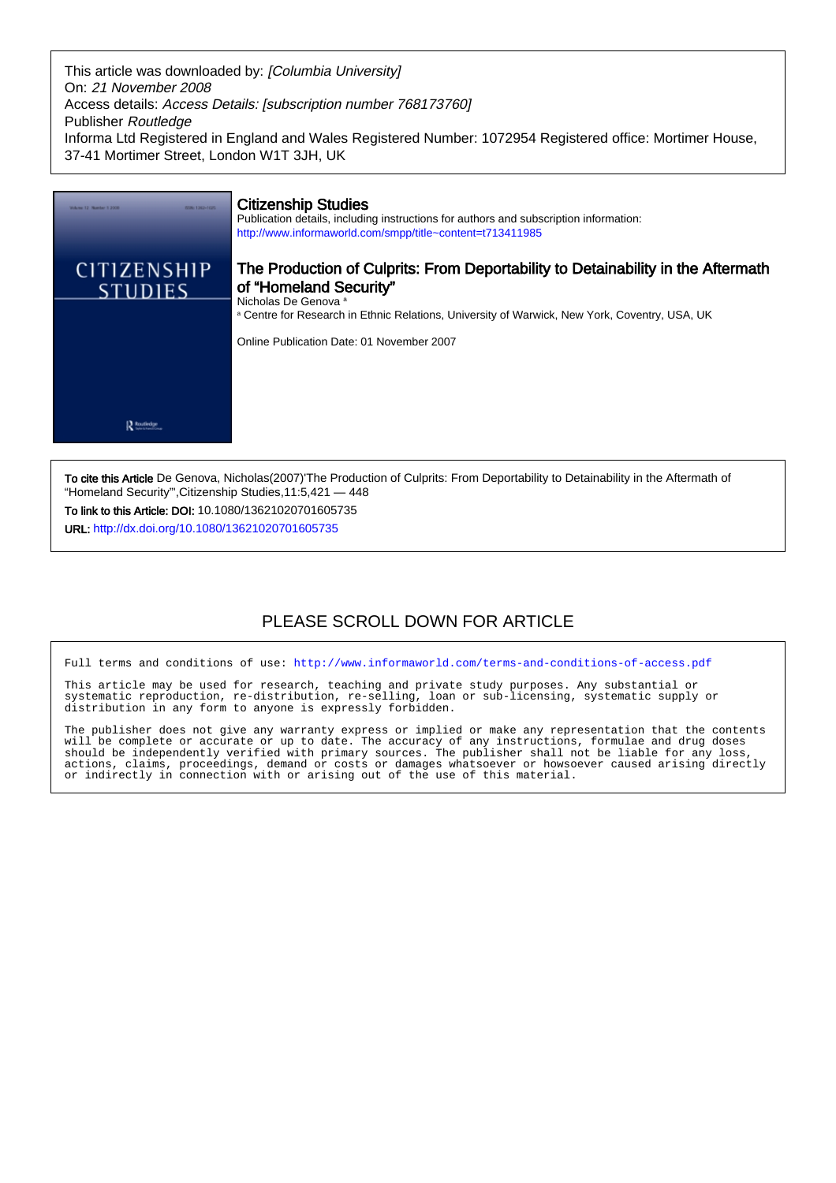This article was downloaded by: [Columbia University] On: 21 November 2008 Access details: Access Details: [subscription number 768173760] Publisher Routledge Informa Ltd Registered in England and Wales Registered Number: 1072954 Registered office: Mortimer House, 37-41 Mortimer Street, London W1T 3JH, UK



To cite this Article De Genova, Nicholas(2007)'The Production of Culprits: From Deportability to Detainability in the Aftermath of "Homeland Security"',Citizenship Studies,11:5,421 — 448

To link to this Article: DOI: 10.1080/13621020701605735 URL: <http://dx.doi.org/10.1080/13621020701605735>

# PLEASE SCROLL DOWN FOR ARTICLE

Full terms and conditions of use:<http://www.informaworld.com/terms-and-conditions-of-access.pdf>

This article may be used for research, teaching and private study purposes. Any substantial or systematic reproduction, re-distribution, re-selling, loan or sub-licensing, systematic supply or distribution in any form to anyone is expressly forbidden.

The publisher does not give any warranty express or implied or make any representation that the contents will be complete or accurate or up to date. The accuracy of any instructions, formulae and drug doses should be independently verified with primary sources. The publisher shall not be liable for any loss, actions, claims, proceedings, demand or costs or damages whatsoever or howsoever caused arising directly or indirectly in connection with or arising out of the use of this material.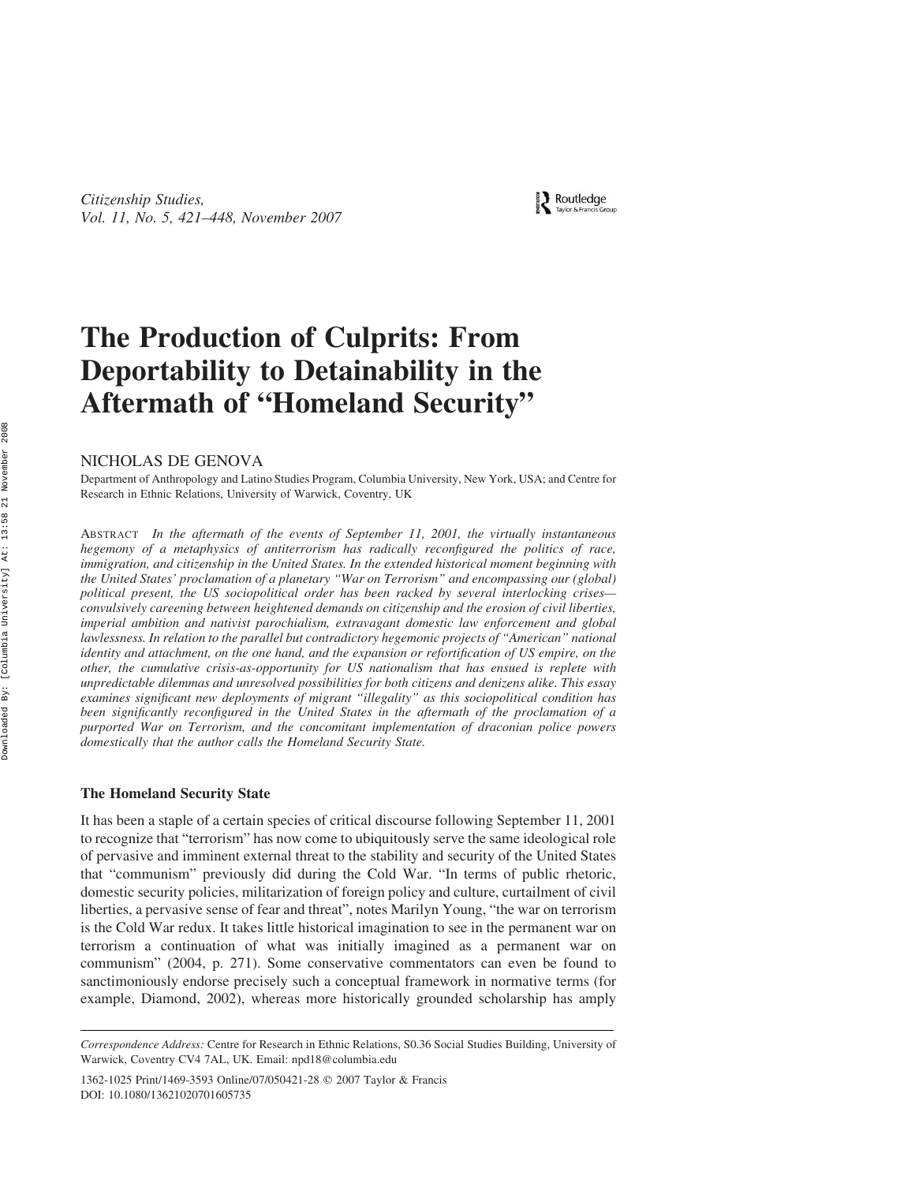Routledge

# The Production of Culprits: From Deportability to Detainability in the Aftermath of "Homeland Security"

NICHOLAS DE GENOVA

Department of Anthropology and Latino Studies Program, Columbia University, New York, USA; and Centre for Research in Ethnic Relations, University of Warwick, Coventry, UK

ABSTRACT In the aftermath of the events of September 11, 2001, the virtually instantaneous hegemony of a metaphysics of antiterrorism has radically reconfigured the politics of race, immigration, and citizenship in the United States. In the extended historical moment beginning with the United States' proclamation of a planetary "War on Terrorism" and encompassing our (global) political present, the US sociopolitical order has been racked by several interlocking crises convulsively careening between heightened demands on citizenship and the erosion of civil liberties, imperial ambition and nativist parochialism, extravagant domestic law enforcement and global lawlessness. In relation to the parallel but contradictory hegemonic projects of "American" national identity and attachment, on the one hand, and the expansion or refortification of US empire, on the other, the cumulative crisis-as-opportunity for US nationalism that has ensued is replete with unpredictable dilemmas and unresolved possibilities for both citizens and denizens alike. This essay examines significant new deployments of migrant "illegality" as this sociopolitical condition has been significantly reconfigured in the United States in the aftermath of the proclamation of a purported War on Terrorism, and the concomitant implementation of draconian police powers domestically that the author calls the Homeland Security State.

#### The Homeland Security State

It has been a staple of a certain species of critical discourse following September 11, 2001 to recognize that "terrorism" has now come to ubiquitously serve the same ideological role of pervasive and imminent external threat to the stability and security of the United States that "communism" previously did during the Cold War. "In terms of public rhetoric, domestic security policies, militarization of foreign policy and culture, curtailment of civil liberties, a pervasive sense of fear and threat", notes Marilyn Young, "the war on terrorism is the Cold War redux. It takes little historical imagination to see in the permanent war on terrorism a continuation of what was initially imagined as a permanent war on communism" (2004, p. 271). Some conservative commentators can even be found to sanctimoniously endorse precisely such a conceptual framework in normative terms (for example, Diamond, 2002), whereas more historically grounded scholarship has amply

Correspondence Address: Centre for Research in Ethnic Relations, S0.36 Social Studies Building, University of Warwick, Coventry CV4 7AL, UK. Email: npd18@columbia.edu

<sup>1362-1025</sup> Print/1469-3593 Online/07/050421-28 q 2007 Taylor & Francis DOI: 10.1080/13621020701605735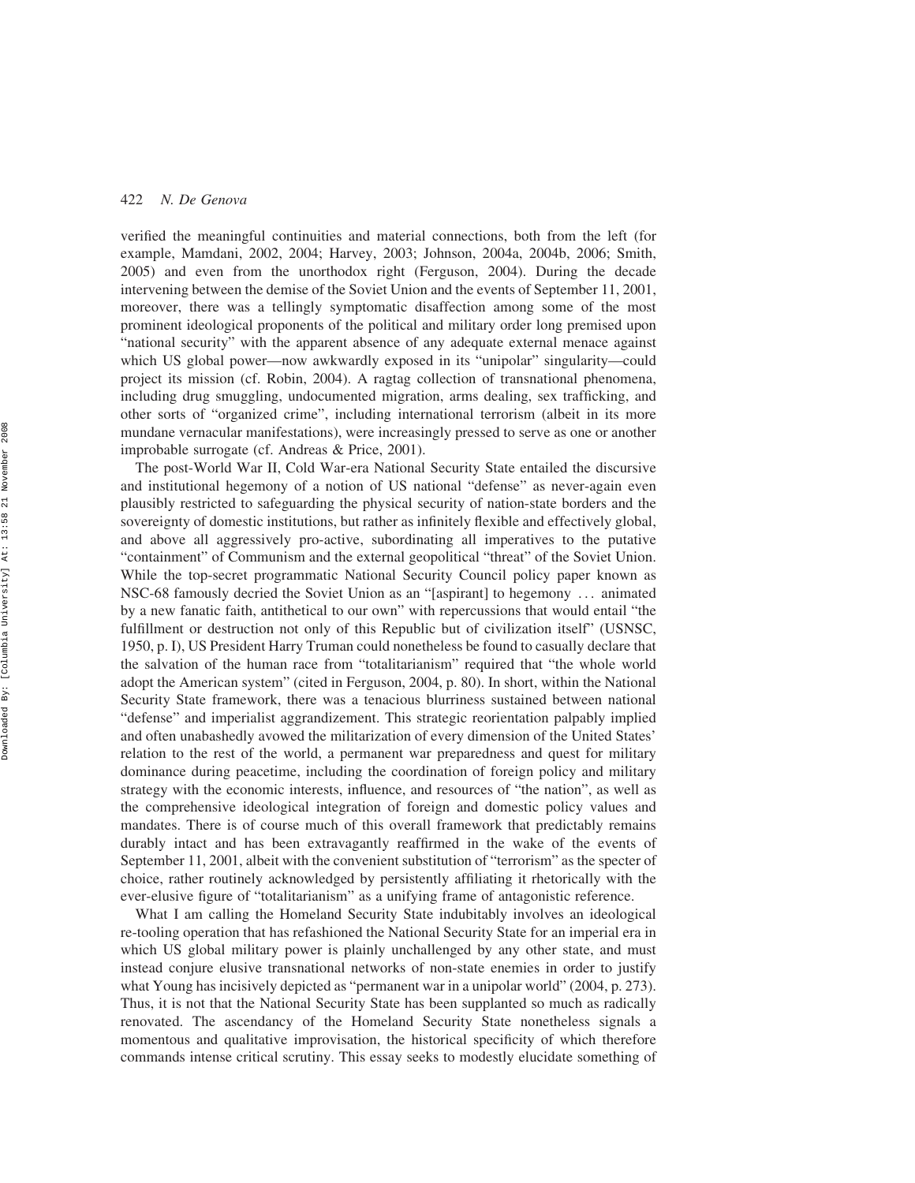verified the meaningful continuities and material connections, both from the left (for example, Mamdani, 2002, 2004; Harvey, 2003; Johnson, 2004a, 2004b, 2006; Smith, 2005) and even from the unorthodox right (Ferguson, 2004). During the decade intervening between the demise of the Soviet Union and the events of September 11, 2001, moreover, there was a tellingly symptomatic disaffection among some of the most prominent ideological proponents of the political and military order long premised upon "national security" with the apparent absence of any adequate external menace against which US global power—now awkwardly exposed in its "unipolar" singularity—could project its mission (cf. Robin, 2004). A ragtag collection of transnational phenomena, including drug smuggling, undocumented migration, arms dealing, sex trafficking, and other sorts of "organized crime", including international terrorism (albeit in its more mundane vernacular manifestations), were increasingly pressed to serve as one or another improbable surrogate (cf. Andreas & Price, 2001).

The post-World War II, Cold War-era National Security State entailed the discursive and institutional hegemony of a notion of US national "defense" as never-again even plausibly restricted to safeguarding the physical security of nation-state borders and the sovereignty of domestic institutions, but rather as infinitely flexible and effectively global, and above all aggressively pro-active, subordinating all imperatives to the putative "containment" of Communism and the external geopolitical "threat" of the Soviet Union. While the top-secret programmatic National Security Council policy paper known as NSC-68 famously decried the Soviet Union as an "[aspirant] to hegemony ... animated by a new fanatic faith, antithetical to our own" with repercussions that would entail "the fulfillment or destruction not only of this Republic but of civilization itself" (USNSC, 1950, p. I), US President Harry Truman could nonetheless be found to casually declare that the salvation of the human race from "totalitarianism" required that "the whole world adopt the American system" (cited in Ferguson, 2004, p. 80). In short, within the National Security State framework, there was a tenacious blurriness sustained between national "defense" and imperialist aggrandizement. This strategic reorientation palpably implied and often unabashedly avowed the militarization of every dimension of the United States' relation to the rest of the world, a permanent war preparedness and quest for military dominance during peacetime, including the coordination of foreign policy and military strategy with the economic interests, influence, and resources of "the nation", as well as the comprehensive ideological integration of foreign and domestic policy values and mandates. There is of course much of this overall framework that predictably remains durably intact and has been extravagantly reaffirmed in the wake of the events of September 11, 2001, albeit with the convenient substitution of "terrorism" as the specter of choice, rather routinely acknowledged by persistently affiliating it rhetorically with the ever-elusive figure of "totalitarianism" as a unifying frame of antagonistic reference.

What I am calling the Homeland Security State indubitably involves an ideological re-tooling operation that has refashioned the National Security State for an imperial era in which US global military power is plainly unchallenged by any other state, and must instead conjure elusive transnational networks of non-state enemies in order to justify what Young has incisively depicted as "permanent war in a unipolar world" (2004, p. 273). Thus, it is not that the National Security State has been supplanted so much as radically renovated. The ascendancy of the Homeland Security State nonetheless signals a momentous and qualitative improvisation, the historical specificity of which therefore commands intense critical scrutiny. This essay seeks to modestly elucidate something of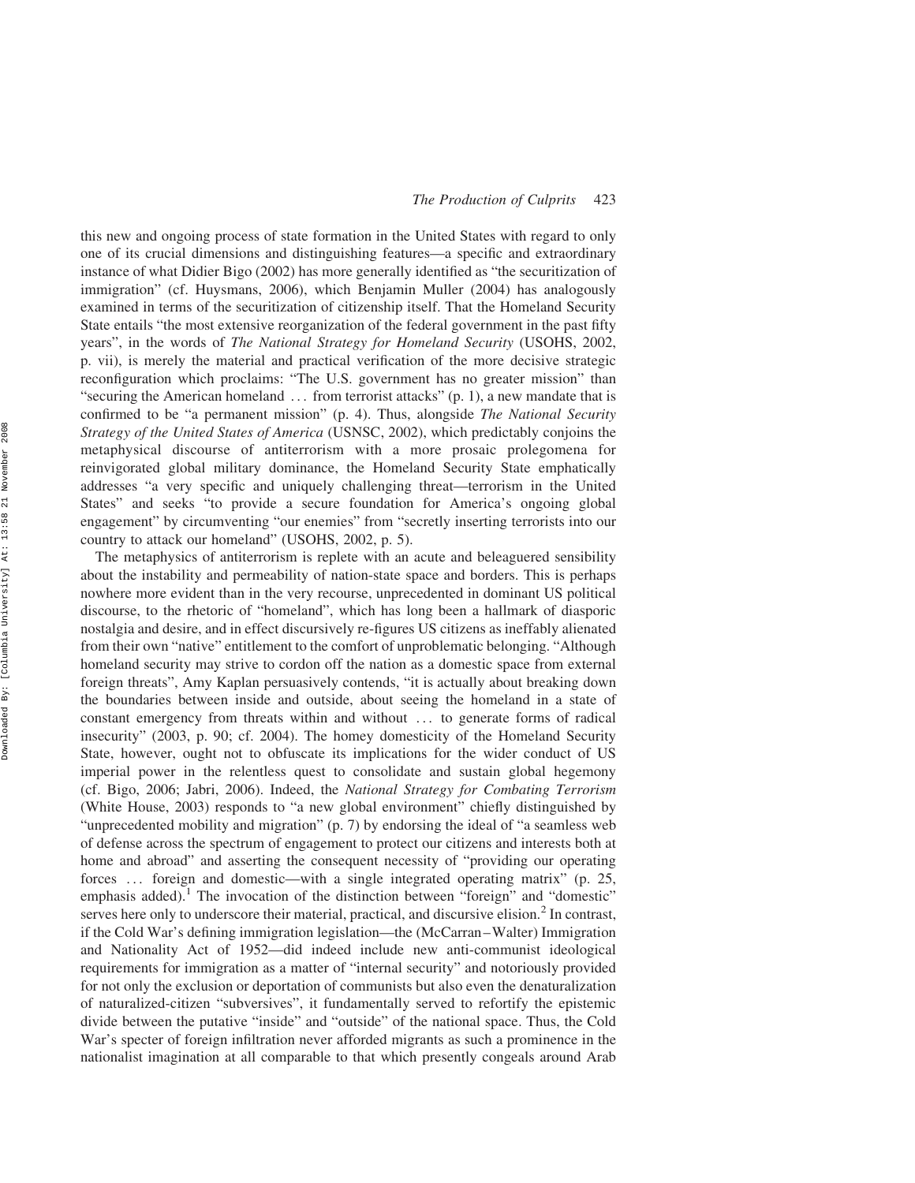this new and ongoing process of state formation in the United States with regard to only one of its crucial dimensions and distinguishing features—a specific and extraordinary instance of what Didier Bigo (2002) has more generally identified as "the securitization of immigration" (cf. Huysmans, 2006), which Benjamin Muller (2004) has analogously examined in terms of the securitization of citizenship itself. That the Homeland Security State entails "the most extensive reorganization of the federal government in the past fifty years", in the words of The National Strategy for Homeland Security (USOHS, 2002, p. vii), is merely the material and practical verification of the more decisive strategic reconfiguration which proclaims: "The U.S. government has no greater mission" than "securing the American homeland  $\dots$  from terrorist attacks" (p. 1), a new mandate that is confirmed to be "a permanent mission" (p. 4). Thus, alongside The National Security Strategy of the United States of America (USNSC, 2002), which predictably conjoins the metaphysical discourse of antiterrorism with a more prosaic prolegomena for reinvigorated global military dominance, the Homeland Security State emphatically addresses "a very specific and uniquely challenging threat—terrorism in the United States" and seeks "to provide a secure foundation for America's ongoing global engagement" by circumventing "our enemies" from "secretly inserting terrorists into our country to attack our homeland" (USOHS, 2002, p. 5).

The metaphysics of antiterrorism is replete with an acute and beleaguered sensibility about the instability and permeability of nation-state space and borders. This is perhaps nowhere more evident than in the very recourse, unprecedented in dominant US political discourse, to the rhetoric of "homeland", which has long been a hallmark of diasporic nostalgia and desire, and in effect discursively re-figures US citizens as ineffably alienated from their own "native" entitlement to the comfort of unproblematic belonging. "Although homeland security may strive to cordon off the nation as a domestic space from external foreign threats", Amy Kaplan persuasively contends, "it is actually about breaking down the boundaries between inside and outside, about seeing the homeland in a state of constant emergency from threats within and without ... to generate forms of radical insecurity" (2003, p. 90; cf. 2004). The homey domesticity of the Homeland Security State, however, ought not to obfuscate its implications for the wider conduct of US imperial power in the relentless quest to consolidate and sustain global hegemony (cf. Bigo, 2006; Jabri, 2006). Indeed, the National Strategy for Combating Terrorism (White House, 2003) responds to "a new global environment" chiefly distinguished by "unprecedented mobility and migration" (p. 7) by endorsing the ideal of "a seamless web of defense across the spectrum of engagement to protect our citizens and interests both at home and abroad" and asserting the consequent necessity of "providing our operating forces ... foreign and domestic—with a single integrated operating matrix" (p. 25, emphasis added).<sup>1</sup> The invocation of the distinction between "foreign" and "domestic" serves here only to underscore their material, practical, and discursive elision.<sup>2</sup> In contrast, if the Cold War's defining immigration legislation—the (McCarran–Walter) Immigration and Nationality Act of 1952—did indeed include new anti-communist ideological requirements for immigration as a matter of "internal security" and notoriously provided for not only the exclusion or deportation of communists but also even the denaturalization of naturalized-citizen "subversives", it fundamentally served to refortify the epistemic divide between the putative "inside" and "outside" of the national space. Thus, the Cold War's specter of foreign infiltration never afforded migrants as such a prominence in the nationalist imagination at all comparable to that which presently congeals around Arab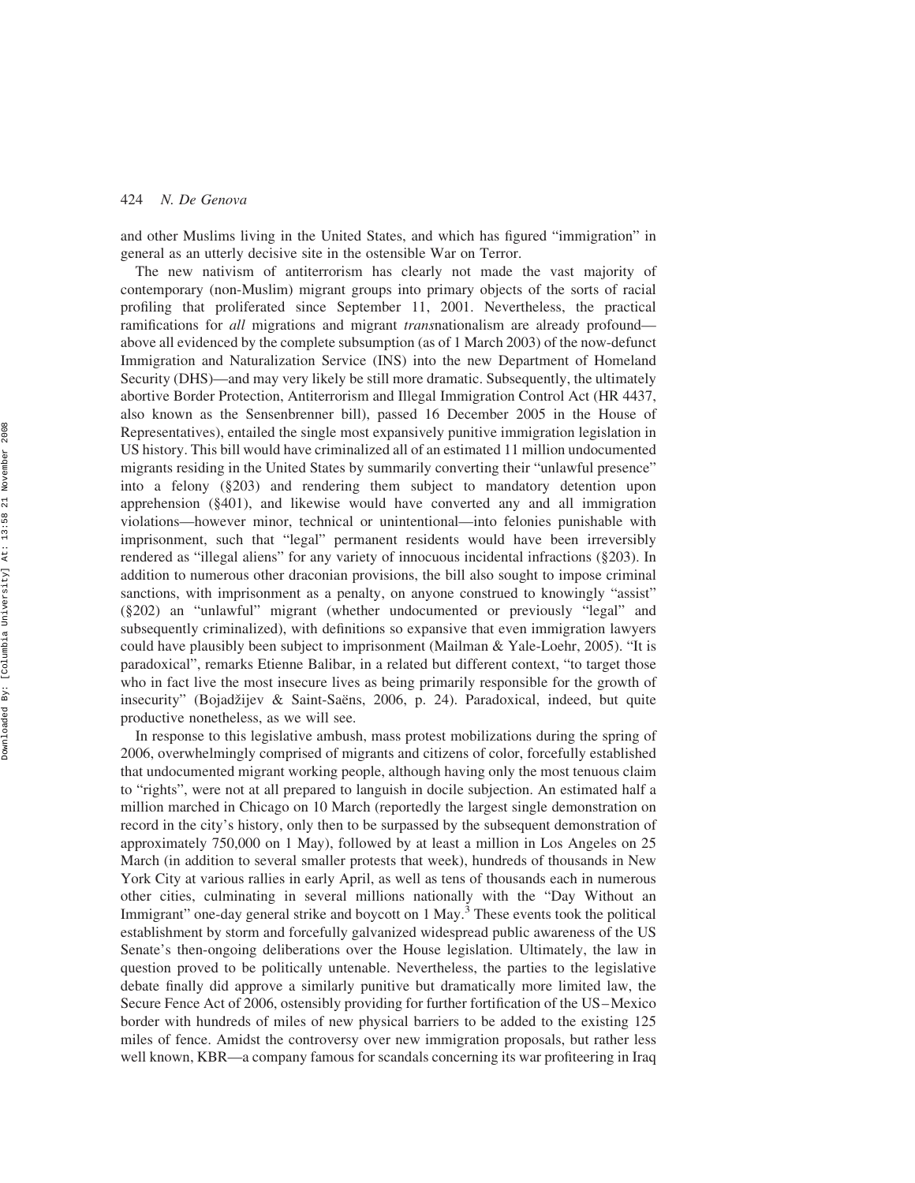and other Muslims living in the United States, and which has figured "immigration" in general as an utterly decisive site in the ostensible War on Terror.

The new nativism of antiterrorism has clearly not made the vast majority of contemporary (non-Muslim) migrant groups into primary objects of the sorts of racial profiling that proliferated since September 11, 2001. Nevertheless, the practical ramifications for all migrations and migrant *transnationalism* are already profound above all evidenced by the complete subsumption (as of 1 March 2003) of the now-defunct Immigration and Naturalization Service (INS) into the new Department of Homeland Security (DHS)—and may very likely be still more dramatic. Subsequently, the ultimately abortive Border Protection, Antiterrorism and Illegal Immigration Control Act (HR 4437, also known as the Sensenbrenner bill), passed 16 December 2005 in the House of Representatives), entailed the single most expansively punitive immigration legislation in US history. This bill would have criminalized all of an estimated 11 million undocumented migrants residing in the United States by summarily converting their "unlawful presence" into a felony (§203) and rendering them subject to mandatory detention upon apprehension (§401), and likewise would have converted any and all immigration violations—however minor, technical or unintentional—into felonies punishable with imprisonment, such that "legal" permanent residents would have been irreversibly rendered as "illegal aliens" for any variety of innocuous incidental infractions (§203). In addition to numerous other draconian provisions, the bill also sought to impose criminal sanctions, with imprisonment as a penalty, on anyone construed to knowingly "assist" (§202) an "unlawful" migrant (whether undocumented or previously "legal" and subsequently criminalized), with definitions so expansive that even immigration lawyers could have plausibly been subject to imprisonment (Mailman & Yale-Loehr, 2005). "It is paradoxical", remarks Etienne Balibar, in a related but different context, "to target those who in fact live the most insecure lives as being primarily responsible for the growth of insecurity" (Bojadžijev & Saint-Saëns, 2006, p. 24). Paradoxical, indeed, but quite productive nonetheless, as we will see.

In response to this legislative ambush, mass protest mobilizations during the spring of 2006, overwhelmingly comprised of migrants and citizens of color, forcefully established that undocumented migrant working people, although having only the most tenuous claim to "rights", were not at all prepared to languish in docile subjection. An estimated half a million marched in Chicago on 10 March (reportedly the largest single demonstration on record in the city's history, only then to be surpassed by the subsequent demonstration of approximately 750,000 on 1 May), followed by at least a million in Los Angeles on 25 March (in addition to several smaller protests that week), hundreds of thousands in New York City at various rallies in early April, as well as tens of thousands each in numerous other cities, culminating in several millions nationally with the "Day Without an Immigrant" one-day general strike and boycott on 1 May.<sup>3</sup> These events took the political establishment by storm and forcefully galvanized widespread public awareness of the US Senate's then-ongoing deliberations over the House legislation. Ultimately, the law in question proved to be politically untenable. Nevertheless, the parties to the legislative debate finally did approve a similarly punitive but dramatically more limited law, the Secure Fence Act of 2006, ostensibly providing for further fortification of the US–Mexico border with hundreds of miles of new physical barriers to be added to the existing 125 miles of fence. Amidst the controversy over new immigration proposals, but rather less well known, KBR—a company famous for scandals concerning its war profiteering in Iraq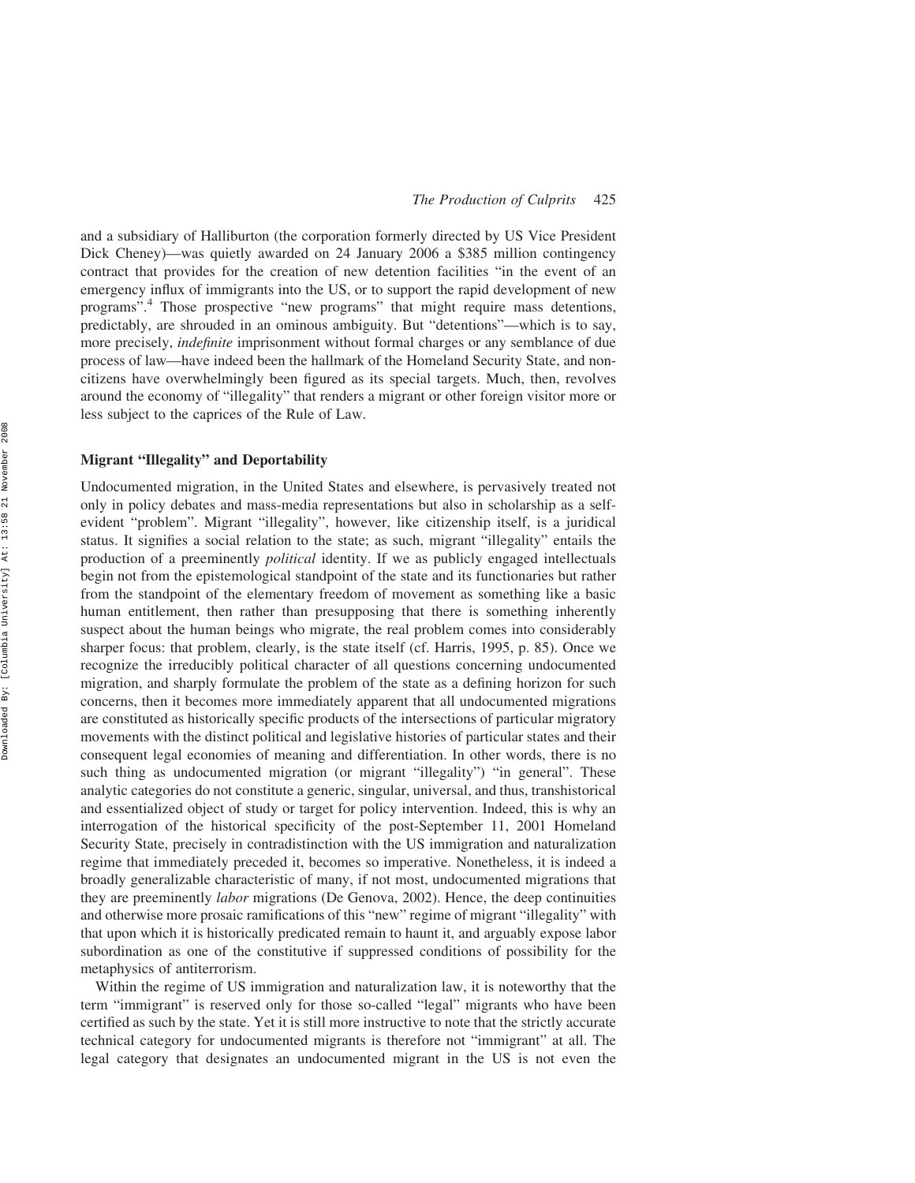and a subsidiary of Halliburton (the corporation formerly directed by US Vice President Dick Cheney)—was quietly awarded on 24 January 2006 a \$385 million contingency contract that provides for the creation of new detention facilities "in the event of an emergency influx of immigrants into the US, or to support the rapid development of new programs".<sup>4</sup> Those prospective "new programs" that might require mass detentions, predictably, are shrouded in an ominous ambiguity. But "detentions"—which is to say, more precisely, *indefinite* imprisonment without formal charges or any semblance of due process of law—have indeed been the hallmark of the Homeland Security State, and noncitizens have overwhelmingly been figured as its special targets. Much, then, revolves around the economy of "illegality" that renders a migrant or other foreign visitor more or less subject to the caprices of the Rule of Law.

## Migrant "Illegality" and Deportability

Undocumented migration, in the United States and elsewhere, is pervasively treated not only in policy debates and mass-media representations but also in scholarship as a selfevident "problem". Migrant "illegality", however, like citizenship itself, is a juridical status. It signifies a social relation to the state; as such, migrant "illegality" entails the production of a preeminently *political* identity. If we as publicly engaged intellectuals begin not from the epistemological standpoint of the state and its functionaries but rather from the standpoint of the elementary freedom of movement as something like a basic human entitlement, then rather than presupposing that there is something inherently suspect about the human beings who migrate, the real problem comes into considerably sharper focus: that problem, clearly, is the state itself (cf. Harris, 1995, p. 85). Once we recognize the irreducibly political character of all questions concerning undocumented migration, and sharply formulate the problem of the state as a defining horizon for such concerns, then it becomes more immediately apparent that all undocumented migrations are constituted as historically specific products of the intersections of particular migratory movements with the distinct political and legislative histories of particular states and their consequent legal economies of meaning and differentiation. In other words, there is no such thing as undocumented migration (or migrant "illegality") "in general". These analytic categories do not constitute a generic, singular, universal, and thus, transhistorical and essentialized object of study or target for policy intervention. Indeed, this is why an interrogation of the historical specificity of the post-September 11, 2001 Homeland Security State, precisely in contradistinction with the US immigration and naturalization regime that immediately preceded it, becomes so imperative. Nonetheless, it is indeed a broadly generalizable characteristic of many, if not most, undocumented migrations that they are preeminently labor migrations (De Genova, 2002). Hence, the deep continuities and otherwise more prosaic ramifications of this "new" regime of migrant "illegality" with that upon which it is historically predicated remain to haunt it, and arguably expose labor subordination as one of the constitutive if suppressed conditions of possibility for the metaphysics of antiterrorism.

Within the regime of US immigration and naturalization law, it is noteworthy that the term "immigrant" is reserved only for those so-called "legal" migrants who have been certified as such by the state. Yet it is still more instructive to note that the strictly accurate technical category for undocumented migrants is therefore not "immigrant" at all. The legal category that designates an undocumented migrant in the US is not even the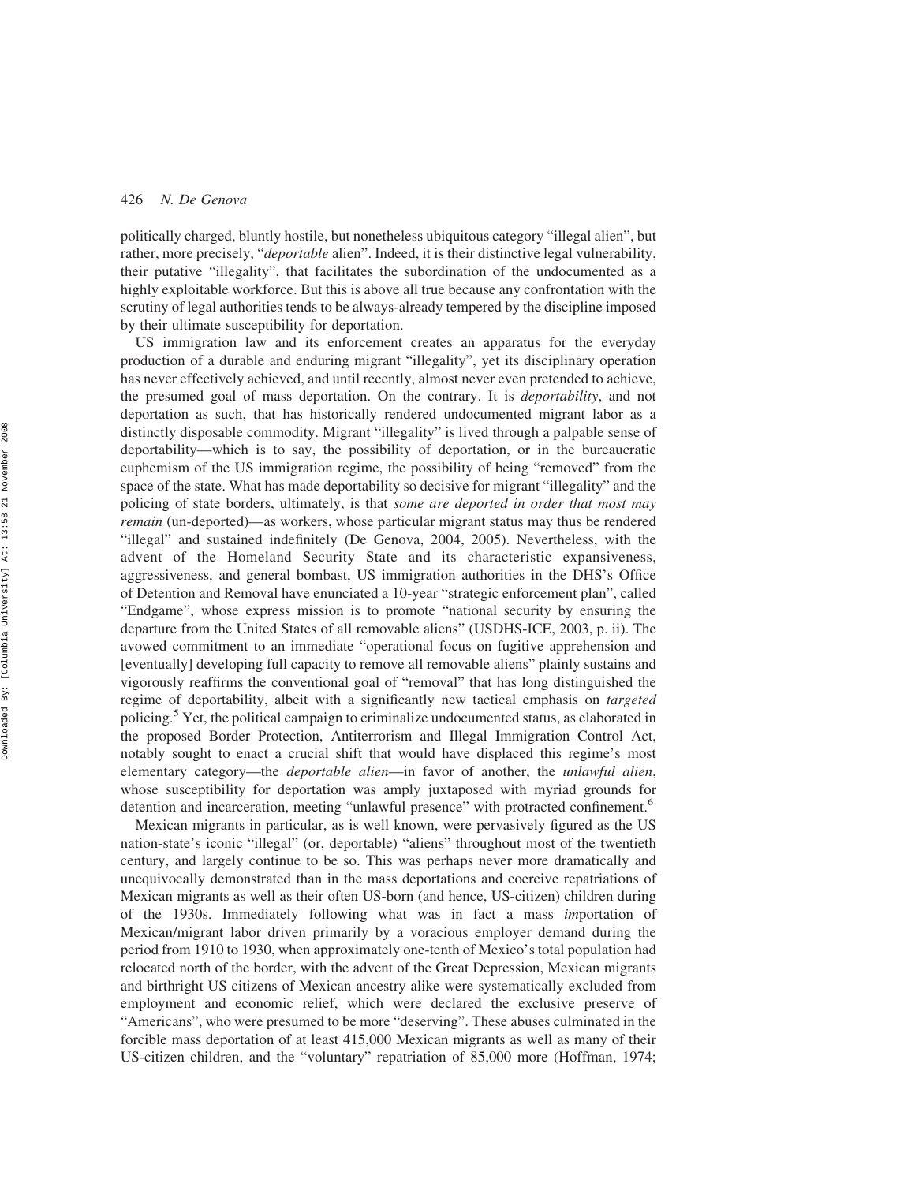politically charged, bluntly hostile, but nonetheless ubiquitous category "illegal alien", but rather, more precisely, "*deportable* alien". Indeed, it is their distinctive legal vulnerability, their putative "illegality", that facilitates the subordination of the undocumented as a highly exploitable workforce. But this is above all true because any confrontation with the scrutiny of legal authorities tends to be always-already tempered by the discipline imposed by their ultimate susceptibility for deportation.

US immigration law and its enforcement creates an apparatus for the everyday production of a durable and enduring migrant "illegality", yet its disciplinary operation has never effectively achieved, and until recently, almost never even pretended to achieve, the presumed goal of mass deportation. On the contrary. It is deportability, and not deportation as such, that has historically rendered undocumented migrant labor as a distinctly disposable commodity. Migrant "illegality" is lived through a palpable sense of deportability—which is to say, the possibility of deportation, or in the bureaucratic euphemism of the US immigration regime, the possibility of being "removed" from the space of the state. What has made deportability so decisive for migrant "illegality" and the policing of state borders, ultimately, is that *some are deported in order that most may* remain (un-deported)—as workers, whose particular migrant status may thus be rendered "illegal" and sustained indefinitely (De Genova, 2004, 2005). Nevertheless, with the advent of the Homeland Security State and its characteristic expansiveness, aggressiveness, and general bombast, US immigration authorities in the DHS's Office of Detention and Removal have enunciated a 10-year "strategic enforcement plan", called "Endgame", whose express mission is to promote "national security by ensuring the departure from the United States of all removable aliens" (USDHS-ICE, 2003, p. ii). The avowed commitment to an immediate "operational focus on fugitive apprehension and [eventually] developing full capacity to remove all removable aliens" plainly sustains and vigorously reaffirms the conventional goal of "removal" that has long distinguished the regime of deportability, albeit with a significantly new tactical emphasis on targeted policing.<sup>5</sup> Yet, the political campaign to criminalize undocumented status, as elaborated in the proposed Border Protection, Antiterrorism and Illegal Immigration Control Act, notably sought to enact a crucial shift that would have displaced this regime's most elementary category—the *deportable alien*—in favor of another, the *unlawful alien*, whose susceptibility for deportation was amply juxtaposed with myriad grounds for detention and incarceration, meeting "unlawful presence" with protracted confinement.<sup>6</sup>

Mexican migrants in particular, as is well known, were pervasively figured as the US nation-state's iconic "illegal" (or, deportable) "aliens" throughout most of the twentieth century, and largely continue to be so. This was perhaps never more dramatically and unequivocally demonstrated than in the mass deportations and coercive repatriations of Mexican migrants as well as their often US-born (and hence, US-citizen) children during of the 1930s. Immediately following what was in fact a mass importation of Mexican/migrant labor driven primarily by a voracious employer demand during the period from 1910 to 1930, when approximately one-tenth of Mexico's total population had relocated north of the border, with the advent of the Great Depression, Mexican migrants and birthright US citizens of Mexican ancestry alike were systematically excluded from employment and economic relief, which were declared the exclusive preserve of "Americans", who were presumed to be more "deserving". These abuses culminated in the forcible mass deportation of at least 415,000 Mexican migrants as well as many of their US-citizen children, and the "voluntary" repatriation of 85,000 more (Hoffman, 1974;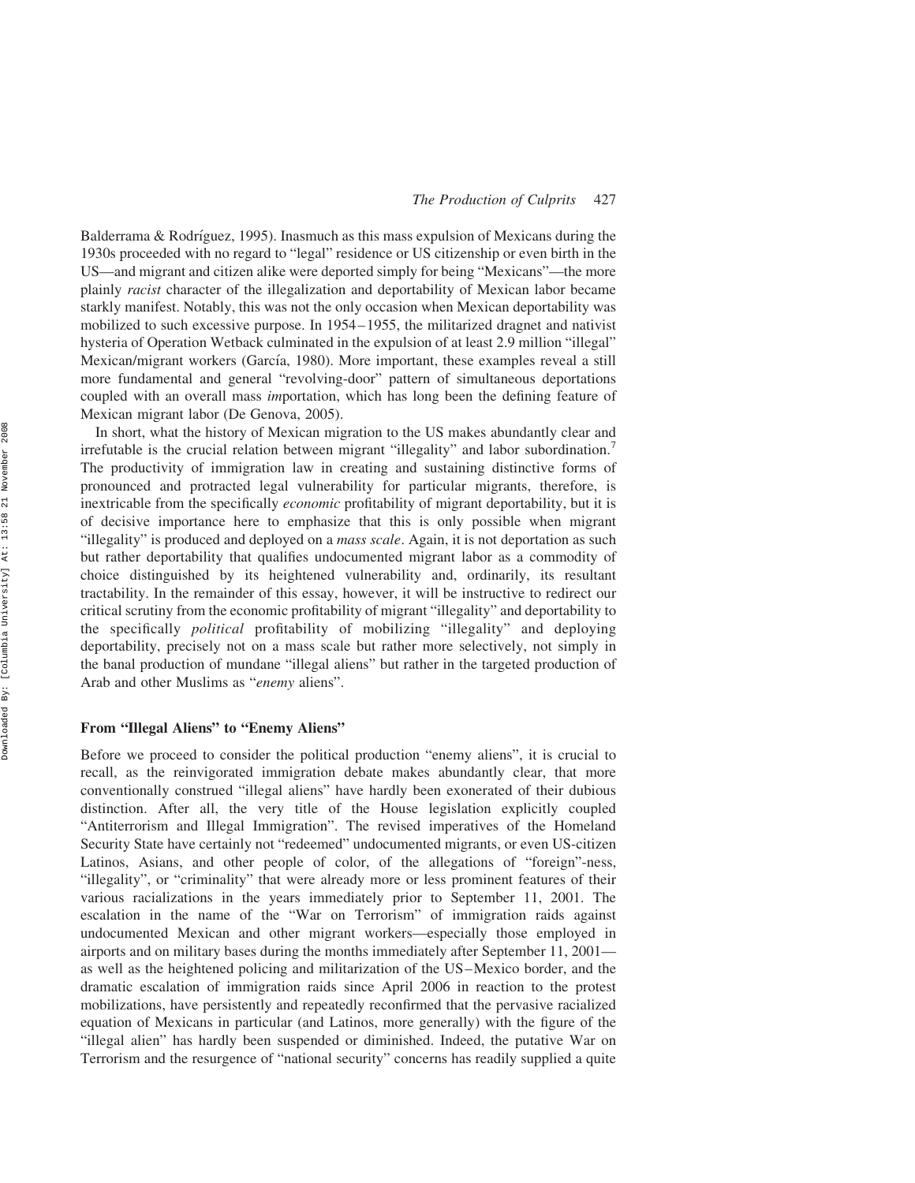Balderrama  $\&$  Rodríguez, 1995). Inasmuch as this mass expulsion of Mexicans during the 1930s proceeded with no regard to "legal" residence or US citizenship or even birth in the US—and migrant and citizen alike were deported simply for being "Mexicans"—the more plainly racist character of the illegalization and deportability of Mexican labor became starkly manifest. Notably, this was not the only occasion when Mexican deportability was mobilized to such excessive purpose. In 1954–1955, the militarized dragnet and nativist hysteria of Operation Wetback culminated in the expulsion of at least 2.9 million "illegal" Mexican/migrant workers (García, 1980). More important, these examples reveal a still more fundamental and general "revolving-door" pattern of simultaneous deportations coupled with an overall mass importation, which has long been the defining feature of Mexican migrant labor (De Genova, 2005).

In short, what the history of Mexican migration to the US makes abundantly clear and irrefutable is the crucial relation between migrant "illegality" and labor subordination.<sup>7</sup> The productivity of immigration law in creating and sustaining distinctive forms of pronounced and protracted legal vulnerability for particular migrants, therefore, is inextricable from the specifically *economic* profitability of migrant deportability, but it is of decisive importance here to emphasize that this is only possible when migrant "illegality" is produced and deployed on a mass scale. Again, it is not deportation as such but rather deportability that qualifies undocumented migrant labor as a commodity of choice distinguished by its heightened vulnerability and, ordinarily, its resultant tractability. In the remainder of this essay, however, it will be instructive to redirect our critical scrutiny from the economic profitability of migrant "illegality" and deportability to the specifically political profitability of mobilizing "illegality" and deploying deportability, precisely not on a mass scale but rather more selectively, not simply in the banal production of mundane "illegal aliens" but rather in the targeted production of Arab and other Muslims as "enemy aliens".

#### From "Illegal Aliens" to "Enemy Aliens"

Before we proceed to consider the political production "enemy aliens", it is crucial to recall, as the reinvigorated immigration debate makes abundantly clear, that more conventionally construed "illegal aliens" have hardly been exonerated of their dubious distinction. After all, the very title of the House legislation explicitly coupled "Antiterrorism and Illegal Immigration". The revised imperatives of the Homeland Security State have certainly not "redeemed" undocumented migrants, or even US-citizen Latinos, Asians, and other people of color, of the allegations of "foreign"-ness, "illegality", or "criminality" that were already more or less prominent features of their various racializations in the years immediately prior to September 11, 2001. The escalation in the name of the "War on Terrorism" of immigration raids against undocumented Mexican and other migrant workers—especially those employed in airports and on military bases during the months immediately after September 11, 2001 as well as the heightened policing and militarization of the US–Mexico border, and the dramatic escalation of immigration raids since April 2006 in reaction to the protest mobilizations, have persistently and repeatedly reconfirmed that the pervasive racialized equation of Mexicans in particular (and Latinos, more generally) with the figure of the "illegal alien" has hardly been suspended or diminished. Indeed, the putative War on Terrorism and the resurgence of "national security" concerns has readily supplied a quite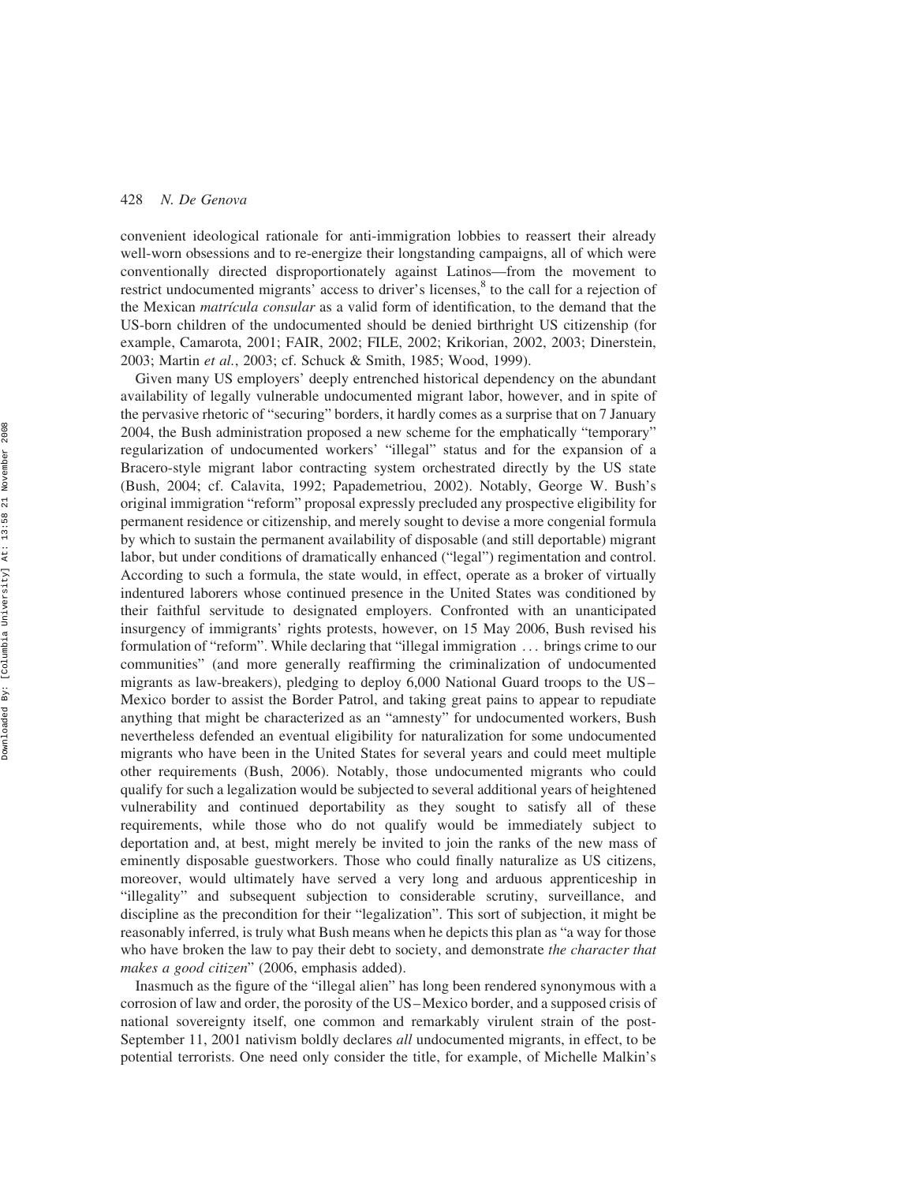convenient ideological rationale for anti-immigration lobbies to reassert their already well-worn obsessions and to re-energize their longstanding campaigns, all of which were conventionally directed disproportionately against Latinos—from the movement to restrict undocumented migrants' access to driver's licenses,<sup>8</sup> to the call for a rejection of the Mexican *matrícula consular* as a valid form of identification, to the demand that the US-born children of the undocumented should be denied birthright US citizenship (for example, Camarota, 2001; FAIR, 2002; FILE, 2002; Krikorian, 2002, 2003; Dinerstein, 2003; Martin et al., 2003; cf. Schuck & Smith, 1985; Wood, 1999).

Given many US employers' deeply entrenched historical dependency on the abundant availability of legally vulnerable undocumented migrant labor, however, and in spite of the pervasive rhetoric of "securing" borders, it hardly comes as a surprise that on 7 January 2004, the Bush administration proposed a new scheme for the emphatically "temporary" regularization of undocumented workers' "illegal" status and for the expansion of a Bracero-style migrant labor contracting system orchestrated directly by the US state (Bush, 2004; cf. Calavita, 1992; Papademetriou, 2002). Notably, George W. Bush's original immigration "reform" proposal expressly precluded any prospective eligibility for permanent residence or citizenship, and merely sought to devise a more congenial formula by which to sustain the permanent availability of disposable (and still deportable) migrant labor, but under conditions of dramatically enhanced ("legal") regimentation and control. According to such a formula, the state would, in effect, operate as a broker of virtually indentured laborers whose continued presence in the United States was conditioned by their faithful servitude to designated employers. Confronted with an unanticipated insurgency of immigrants' rights protests, however, on 15 May 2006, Bush revised his formulation of "reform". While declaring that "illegal immigration ... brings crime to our communities" (and more generally reaffirming the criminalization of undocumented migrants as law-breakers), pledging to deploy 6,000 National Guard troops to the US– Mexico border to assist the Border Patrol, and taking great pains to appear to repudiate anything that might be characterized as an "amnesty" for undocumented workers, Bush nevertheless defended an eventual eligibility for naturalization for some undocumented migrants who have been in the United States for several years and could meet multiple other requirements (Bush, 2006). Notably, those undocumented migrants who could qualify for such a legalization would be subjected to several additional years of heightened vulnerability and continued deportability as they sought to satisfy all of these requirements, while those who do not qualify would be immediately subject to deportation and, at best, might merely be invited to join the ranks of the new mass of eminently disposable guestworkers. Those who could finally naturalize as US citizens, moreover, would ultimately have served a very long and arduous apprenticeship in "illegality" and subsequent subjection to considerable scrutiny, surveillance, and discipline as the precondition for their "legalization". This sort of subjection, it might be reasonably inferred, is truly what Bush means when he depicts this plan as "a way for those who have broken the law to pay their debt to society, and demonstrate the character that makes a good citizen" (2006, emphasis added).

Inasmuch as the figure of the "illegal alien" has long been rendered synonymous with a corrosion of law and order, the porosity of the US–Mexico border, and a supposed crisis of national sovereignty itself, one common and remarkably virulent strain of the post-September 11, 2001 nativism boldly declares all undocumented migrants, in effect, to be potential terrorists. One need only consider the title, for example, of Michelle Malkin's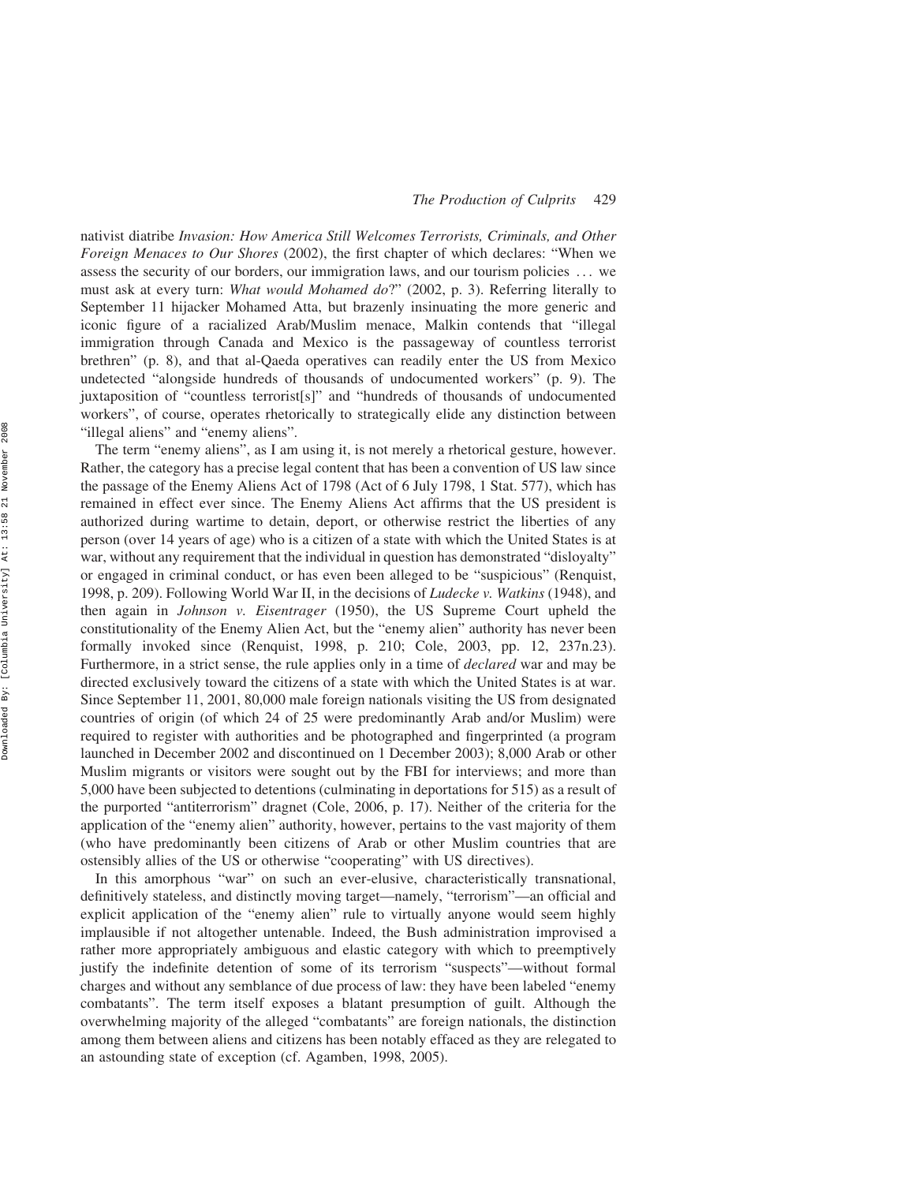nativist diatribe Invasion: How America Still Welcomes Terrorists, Criminals, and Other Foreign Menaces to Our Shores (2002), the first chapter of which declares: "When we assess the security of our borders, our immigration laws, and our tourism policies ... we must ask at every turn: What would Mohamed do?" (2002, p. 3). Referring literally to September 11 hijacker Mohamed Atta, but brazenly insinuating the more generic and iconic figure of a racialized Arab/Muslim menace, Malkin contends that "illegal immigration through Canada and Mexico is the passageway of countless terrorist brethren" (p. 8), and that al-Qaeda operatives can readily enter the US from Mexico undetected "alongside hundreds of thousands of undocumented workers" (p. 9). The juxtaposition of "countless terrorist[s]" and "hundreds of thousands of undocumented workers", of course, operates rhetorically to strategically elide any distinction between "illegal aliens" and "enemy aliens".

The term "enemy aliens", as I am using it, is not merely a rhetorical gesture, however. Rather, the category has a precise legal content that has been a convention of US law since the passage of the Enemy Aliens Act of 1798 (Act of 6 July 1798, 1 Stat. 577), which has remained in effect ever since. The Enemy Aliens Act affirms that the US president is authorized during wartime to detain, deport, or otherwise restrict the liberties of any person (over 14 years of age) who is a citizen of a state with which the United States is at war, without any requirement that the individual in question has demonstrated "disloyalty" or engaged in criminal conduct, or has even been alleged to be "suspicious" (Renquist, 1998, p. 209). Following World War II, in the decisions of Ludecke v. Watkins (1948), and then again in Johnson v. Eisentrager (1950), the US Supreme Court upheld the constitutionality of the Enemy Alien Act, but the "enemy alien" authority has never been formally invoked since (Renquist, 1998, p. 210; Cole, 2003, pp. 12, 237n.23). Furthermore, in a strict sense, the rule applies only in a time of *declared* war and may be directed exclusively toward the citizens of a state with which the United States is at war. Since September 11, 2001, 80,000 male foreign nationals visiting the US from designated countries of origin (of which 24 of 25 were predominantly Arab and/or Muslim) were required to register with authorities and be photographed and fingerprinted (a program launched in December 2002 and discontinued on 1 December 2003); 8,000 Arab or other Muslim migrants or visitors were sought out by the FBI for interviews; and more than 5,000 have been subjected to detentions (culminating in deportations for 515) as a result of the purported "antiterrorism" dragnet (Cole, 2006, p. 17). Neither of the criteria for the application of the "enemy alien" authority, however, pertains to the vast majority of them (who have predominantly been citizens of Arab or other Muslim countries that are ostensibly allies of the US or otherwise "cooperating" with US directives).

In this amorphous "war" on such an ever-elusive, characteristically transnational, definitively stateless, and distinctly moving target—namely, "terrorism"—an official and explicit application of the "enemy alien" rule to virtually anyone would seem highly implausible if not altogether untenable. Indeed, the Bush administration improvised a rather more appropriately ambiguous and elastic category with which to preemptively justify the indefinite detention of some of its terrorism "suspects"—without formal charges and without any semblance of due process of law: they have been labeled "enemy combatants". The term itself exposes a blatant presumption of guilt. Although the overwhelming majority of the alleged "combatants" are foreign nationals, the distinction among them between aliens and citizens has been notably effaced as they are relegated to an astounding state of exception (cf. Agamben, 1998, 2005).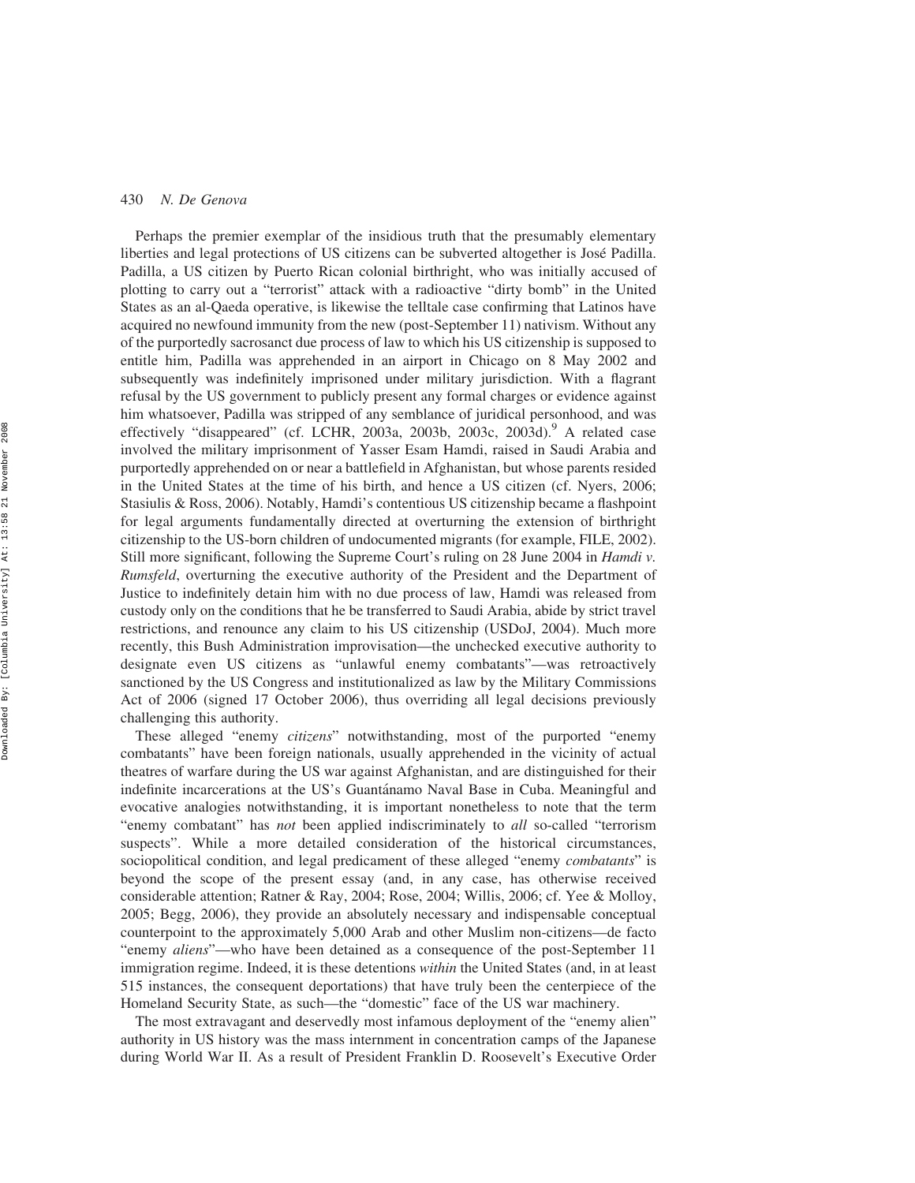Perhaps the premier exemplar of the insidious truth that the presumably elementary liberties and legal protections of US citizens can be subverted altogether is Jose´ Padilla. Padilla, a US citizen by Puerto Rican colonial birthright, who was initially accused of plotting to carry out a "terrorist" attack with a radioactive "dirty bomb" in the United States as an al-Qaeda operative, is likewise the telltale case confirming that Latinos have acquired no newfound immunity from the new (post-September 11) nativism. Without any of the purportedly sacrosanct due process of law to which his US citizenship is supposed to entitle him, Padilla was apprehended in an airport in Chicago on 8 May 2002 and subsequently was indefinitely imprisoned under military jurisdiction. With a flagrant refusal by the US government to publicly present any formal charges or evidence against him whatsoever, Padilla was stripped of any semblance of juridical personhood, and was effectively "disappeared" (cf. LCHR, 2003a, 2003b, 2003c, 2003d).<sup>9</sup> A related case involved the military imprisonment of Yasser Esam Hamdi, raised in Saudi Arabia and purportedly apprehended on or near a battlefield in Afghanistan, but whose parents resided in the United States at the time of his birth, and hence a US citizen (cf. Nyers, 2006; Stasiulis & Ross, 2006). Notably, Hamdi's contentious US citizenship became a flashpoint for legal arguments fundamentally directed at overturning the extension of birthright citizenship to the US-born children of undocumented migrants (for example, FILE, 2002). Still more significant, following the Supreme Court's ruling on 28 June 2004 in *Hamdi v*. Rumsfeld, overturning the executive authority of the President and the Department of Justice to indefinitely detain him with no due process of law, Hamdi was released from custody only on the conditions that he be transferred to Saudi Arabia, abide by strict travel restrictions, and renounce any claim to his US citizenship (USDoJ, 2004). Much more recently, this Bush Administration improvisation—the unchecked executive authority to designate even US citizens as "unlawful enemy combatants"—was retroactively sanctioned by the US Congress and institutionalized as law by the Military Commissions Act of 2006 (signed 17 October 2006), thus overriding all legal decisions previously challenging this authority.

These alleged "enemy *citizens*" notwithstanding, most of the purported "enemy combatants" have been foreign nationals, usually apprehended in the vicinity of actual theatres of warfare during the US war against Afghanistan, and are distinguished for their indefinite incarcerations at the US's Guantánamo Naval Base in Cuba. Meaningful and evocative analogies notwithstanding, it is important nonetheless to note that the term "enemy combatant" has not been applied indiscriminately to all so-called "terrorism" suspects". While a more detailed consideration of the historical circumstances, sociopolitical condition, and legal predicament of these alleged "enemy *combatants*" is beyond the scope of the present essay (and, in any case, has otherwise received considerable attention; Ratner & Ray, 2004; Rose, 2004; Willis, 2006; cf. Yee & Molloy, 2005; Begg, 2006), they provide an absolutely necessary and indispensable conceptual counterpoint to the approximately 5,000 Arab and other Muslim non-citizens—de facto "enemy aliens"—who have been detained as a consequence of the post-September 11 immigration regime. Indeed, it is these detentions *within* the United States (and, in at least 515 instances, the consequent deportations) that have truly been the centerpiece of the Homeland Security State, as such—the "domestic" face of the US war machinery.

The most extravagant and deservedly most infamous deployment of the "enemy alien" authority in US history was the mass internment in concentration camps of the Japanese during World War II. As a result of President Franklin D. Roosevelt's Executive Order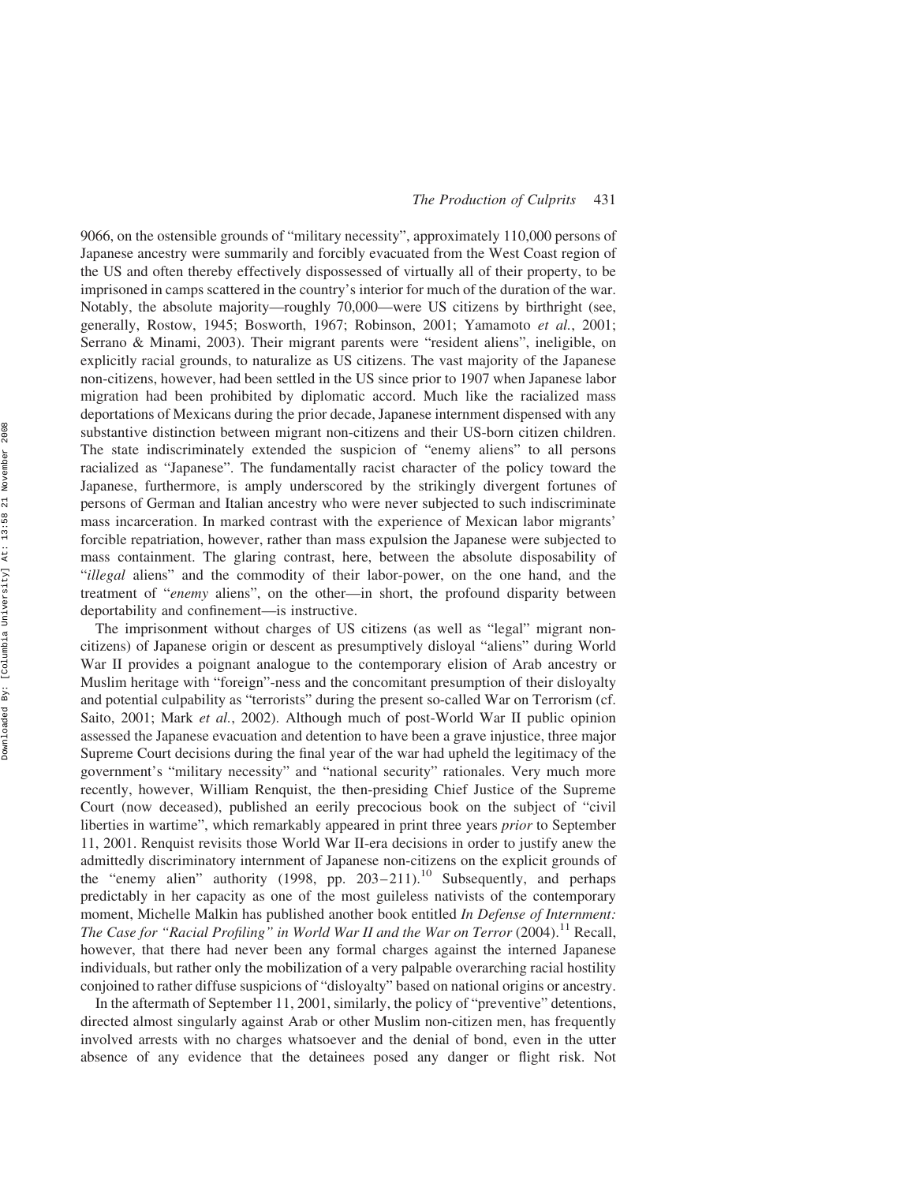9066, on the ostensible grounds of "military necessity", approximately 110,000 persons of Japanese ancestry were summarily and forcibly evacuated from the West Coast region of the US and often thereby effectively dispossessed of virtually all of their property, to be imprisoned in camps scattered in the country's interior for much of the duration of the war. Notably, the absolute majority—roughly 70,000—were US citizens by birthright (see, generally, Rostow, 1945; Bosworth, 1967; Robinson, 2001; Yamamoto et al., 2001; Serrano & Minami, 2003). Their migrant parents were "resident aliens", ineligible, on explicitly racial grounds, to naturalize as US citizens. The vast majority of the Japanese non-citizens, however, had been settled in the US since prior to 1907 when Japanese labor migration had been prohibited by diplomatic accord. Much like the racialized mass deportations of Mexicans during the prior decade, Japanese internment dispensed with any substantive distinction between migrant non-citizens and their US-born citizen children. The state indiscriminately extended the suspicion of "enemy aliens" to all persons racialized as "Japanese". The fundamentally racist character of the policy toward the Japanese, furthermore, is amply underscored by the strikingly divergent fortunes of persons of German and Italian ancestry who were never subjected to such indiscriminate mass incarceration. In marked contrast with the experience of Mexican labor migrants' forcible repatriation, however, rather than mass expulsion the Japanese were subjected to mass containment. The glaring contrast, here, between the absolute disposability of "illegal aliens" and the commodity of their labor-power, on the one hand, and the treatment of "enemy aliens", on the other—in short, the profound disparity between deportability and confinement—is instructive.

The imprisonment without charges of US citizens (as well as "legal" migrant noncitizens) of Japanese origin or descent as presumptively disloyal "aliens" during World War II provides a poignant analogue to the contemporary elision of Arab ancestry or Muslim heritage with "foreign"-ness and the concomitant presumption of their disloyalty and potential culpability as "terrorists" during the present so-called War on Terrorism (cf. Saito, 2001; Mark et al., 2002). Although much of post-World War II public opinion assessed the Japanese evacuation and detention to have been a grave injustice, three major Supreme Court decisions during the final year of the war had upheld the legitimacy of the government's "military necessity" and "national security" rationales. Very much more recently, however, William Renquist, the then-presiding Chief Justice of the Supreme Court (now deceased), published an eerily precocious book on the subject of "civil liberties in wartime", which remarkably appeared in print three years prior to September 11, 2001. Renquist revisits those World War II-era decisions in order to justify anew the admittedly discriminatory internment of Japanese non-citizens on the explicit grounds of the "enemy alien" authority (1998, pp.  $203-211$ ).<sup>10</sup> Subsequently, and perhaps predictably in her capacity as one of the most guileless nativists of the contemporary moment, Michelle Malkin has published another book entitled In Defense of Internment: The Case for "Racial Profiling" in World War II and the War on Terror (2004).<sup>11</sup> Recall, however, that there had never been any formal charges against the interned Japanese individuals, but rather only the mobilization of a very palpable overarching racial hostility conjoined to rather diffuse suspicions of "disloyalty" based on national origins or ancestry.

In the aftermath of September 11, 2001, similarly, the policy of "preventive" detentions, directed almost singularly against Arab or other Muslim non-citizen men, has frequently involved arrests with no charges whatsoever and the denial of bond, even in the utter absence of any evidence that the detainees posed any danger or flight risk. Not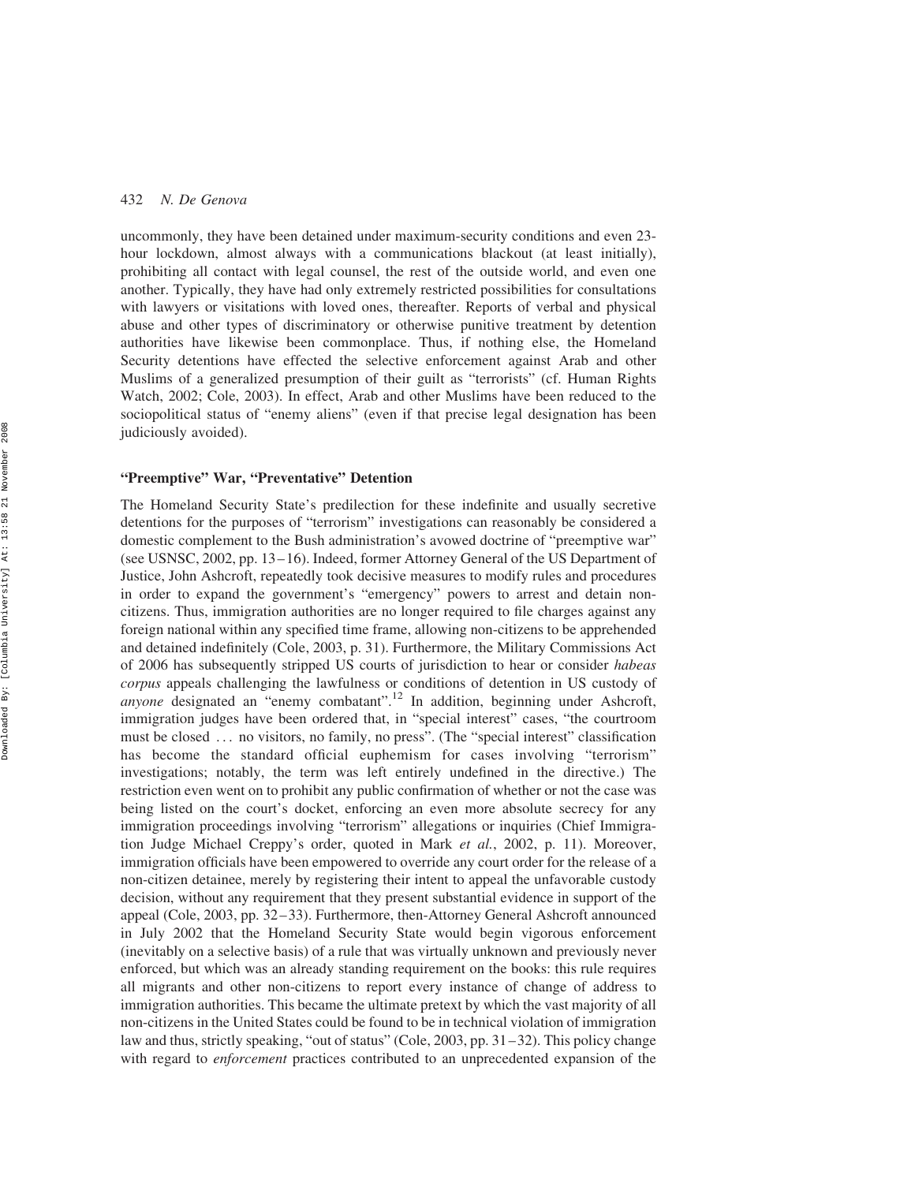uncommonly, they have been detained under maximum-security conditions and even 23 hour lockdown, almost always with a communications blackout (at least initially), prohibiting all contact with legal counsel, the rest of the outside world, and even one another. Typically, they have had only extremely restricted possibilities for consultations with lawyers or visitations with loved ones, thereafter. Reports of verbal and physical abuse and other types of discriminatory or otherwise punitive treatment by detention authorities have likewise been commonplace. Thus, if nothing else, the Homeland Security detentions have effected the selective enforcement against Arab and other Muslims of a generalized presumption of their guilt as "terrorists" (cf. Human Rights Watch, 2002; Cole, 2003). In effect, Arab and other Muslims have been reduced to the sociopolitical status of "enemy aliens" (even if that precise legal designation has been judiciously avoided).

#### "Preemptive" War, "Preventative" Detention

The Homeland Security State's predilection for these indefinite and usually secretive detentions for the purposes of "terrorism" investigations can reasonably be considered a domestic complement to the Bush administration's avowed doctrine of "preemptive war" (see USNSC, 2002, pp. 13–16). Indeed, former Attorney General of the US Department of Justice, John Ashcroft, repeatedly took decisive measures to modify rules and procedures in order to expand the government's "emergency" powers to arrest and detain noncitizens. Thus, immigration authorities are no longer required to file charges against any foreign national within any specified time frame, allowing non-citizens to be apprehended and detained indefinitely (Cole, 2003, p. 31). Furthermore, the Military Commissions Act of 2006 has subsequently stripped US courts of jurisdiction to hear or consider habeas corpus appeals challenging the lawfulness or conditions of detention in US custody of anyone designated an "enemy combatant".<sup>12</sup> In addition, beginning under Ashcroft, immigration judges have been ordered that, in "special interest" cases, "the courtroom must be closed ... no visitors, no family, no press". (The "special interest" classification has become the standard official euphemism for cases involving "terrorism" investigations; notably, the term was left entirely undefined in the directive.) The restriction even went on to prohibit any public confirmation of whether or not the case was being listed on the court's docket, enforcing an even more absolute secrecy for any immigration proceedings involving "terrorism" allegations or inquiries (Chief Immigration Judge Michael Creppy's order, quoted in Mark et al., 2002, p. 11). Moreover, immigration officials have been empowered to override any court order for the release of a non-citizen detainee, merely by registering their intent to appeal the unfavorable custody decision, without any requirement that they present substantial evidence in support of the appeal (Cole, 2003, pp. 32–33). Furthermore, then-Attorney General Ashcroft announced in July 2002 that the Homeland Security State would begin vigorous enforcement (inevitably on a selective basis) of a rule that was virtually unknown and previously never enforced, but which was an already standing requirement on the books: this rule requires all migrants and other non-citizens to report every instance of change of address to immigration authorities. This became the ultimate pretext by which the vast majority of all non-citizens in the United States could be found to be in technical violation of immigration law and thus, strictly speaking, "out of status" (Cole, 2003, pp. 31–32). This policy change with regard to *enforcement* practices contributed to an unprecedented expansion of the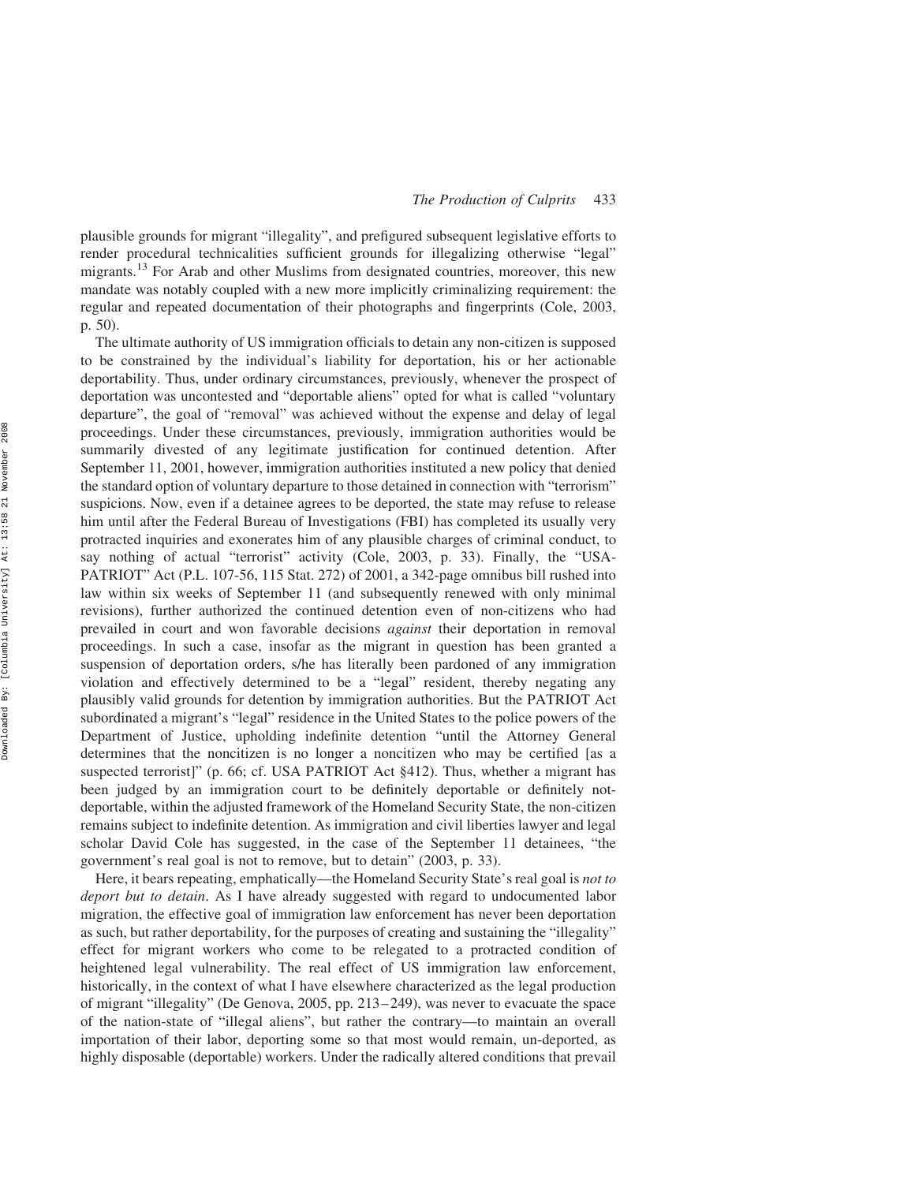plausible grounds for migrant "illegality", and prefigured subsequent legislative efforts to render procedural technicalities sufficient grounds for illegalizing otherwise "legal" migrants.<sup>13</sup> For Arab and other Muslims from designated countries, moreover, this new mandate was notably coupled with a new more implicitly criminalizing requirement: the regular and repeated documentation of their photographs and fingerprints (Cole, 2003, p. 50).

The ultimate authority of US immigration officials to detain any non-citizen is supposed to be constrained by the individual's liability for deportation, his or her actionable deportability. Thus, under ordinary circumstances, previously, whenever the prospect of deportation was uncontested and "deportable aliens" opted for what is called "voluntary departure", the goal of "removal" was achieved without the expense and delay of legal proceedings. Under these circumstances, previously, immigration authorities would be summarily divested of any legitimate justification for continued detention. After September 11, 2001, however, immigration authorities instituted a new policy that denied the standard option of voluntary departure to those detained in connection with "terrorism" suspicions. Now, even if a detainee agrees to be deported, the state may refuse to release him until after the Federal Bureau of Investigations (FBI) has completed its usually very protracted inquiries and exonerates him of any plausible charges of criminal conduct, to say nothing of actual "terrorist" activity (Cole, 2003, p. 33). Finally, the "USA-PATRIOT" Act (P.L. 107-56, 115 Stat. 272) of 2001, a 342-page omnibus bill rushed into law within six weeks of September 11 (and subsequently renewed with only minimal revisions), further authorized the continued detention even of non-citizens who had prevailed in court and won favorable decisions against their deportation in removal proceedings. In such a case, insofar as the migrant in question has been granted a suspension of deportation orders, s/he has literally been pardoned of any immigration violation and effectively determined to be a "legal" resident, thereby negating any plausibly valid grounds for detention by immigration authorities. But the PATRIOT Act subordinated a migrant's "legal" residence in the United States to the police powers of the Department of Justice, upholding indefinite detention "until the Attorney General determines that the noncitizen is no longer a noncitizen who may be certified [as a suspected terrorist]" (p. 66; cf. USA PATRIOT Act §412). Thus, whether a migrant has been judged by an immigration court to be definitely deportable or definitely notdeportable, within the adjusted framework of the Homeland Security State, the non-citizen remains subject to indefinite detention. As immigration and civil liberties lawyer and legal scholar David Cole has suggested, in the case of the September 11 detainees, "the government's real goal is not to remove, but to detain" (2003, p. 33).

Here, it bears repeating, emphatically—the Homeland Security State's real goal is not to deport but to detain. As I have already suggested with regard to undocumented labor migration, the effective goal of immigration law enforcement has never been deportation as such, but rather deportability, for the purposes of creating and sustaining the "illegality" effect for migrant workers who come to be relegated to a protracted condition of heightened legal vulnerability. The real effect of US immigration law enforcement, historically, in the context of what I have elsewhere characterized as the legal production of migrant "illegality" (De Genova, 2005, pp. 213–249), was never to evacuate the space of the nation-state of "illegal aliens", but rather the contrary—to maintain an overall importation of their labor, deporting some so that most would remain, un-deported, as highly disposable (deportable) workers. Under the radically altered conditions that prevail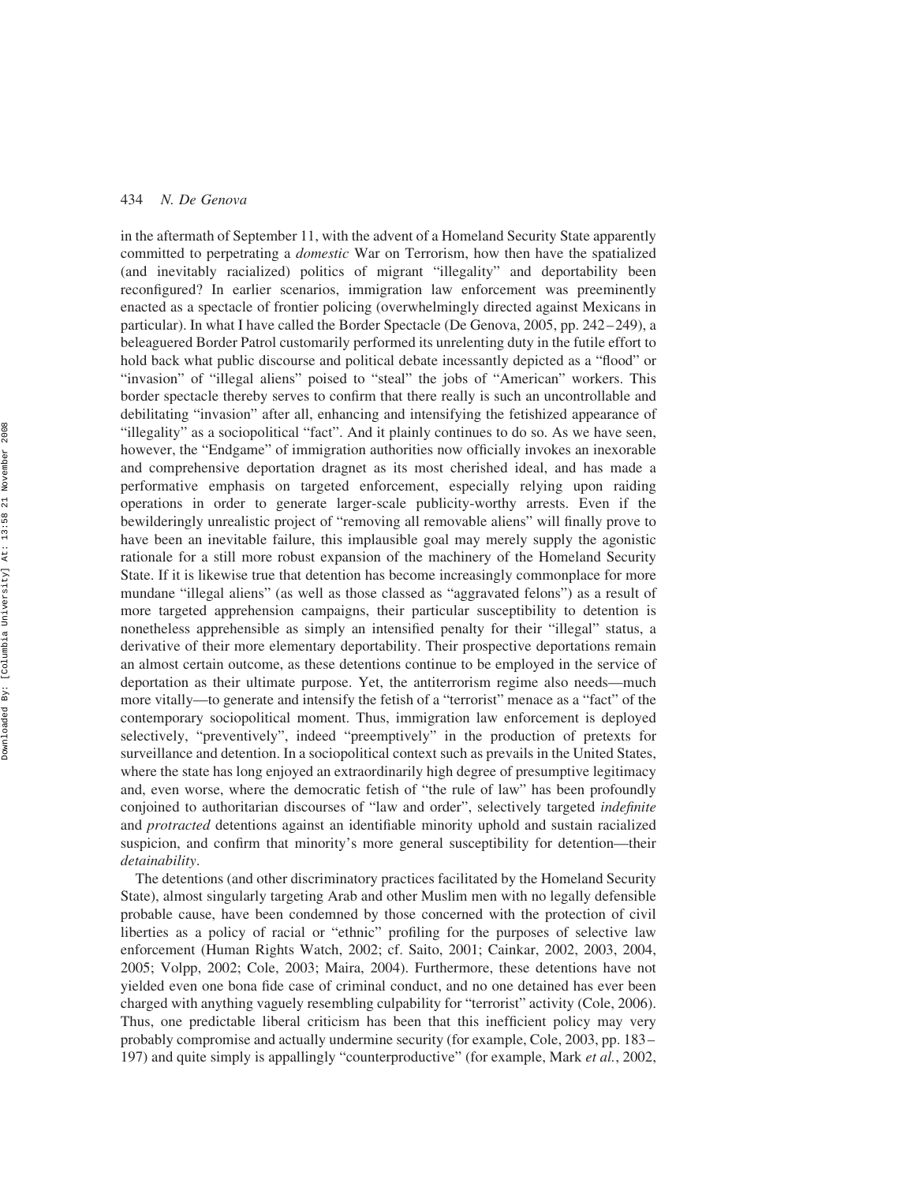in the aftermath of September 11, with the advent of a Homeland Security State apparently committed to perpetrating a domestic War on Terrorism, how then have the spatialized (and inevitably racialized) politics of migrant "illegality" and deportability been reconfigured? In earlier scenarios, immigration law enforcement was preeminently enacted as a spectacle of frontier policing (overwhelmingly directed against Mexicans in particular). In what I have called the Border Spectacle (De Genova, 2005, pp. 242–249), a beleaguered Border Patrol customarily performed its unrelenting duty in the futile effort to hold back what public discourse and political debate incessantly depicted as a "flood" or "invasion" of "illegal aliens" poised to "steal" the jobs of "American" workers. This border spectacle thereby serves to confirm that there really is such an uncontrollable and debilitating "invasion" after all, enhancing and intensifying the fetishized appearance of "illegality" as a sociopolitical "fact". And it plainly continues to do so. As we have seen, however, the "Endgame" of immigration authorities now officially invokes an inexorable and comprehensive deportation dragnet as its most cherished ideal, and has made a performative emphasis on targeted enforcement, especially relying upon raiding operations in order to generate larger-scale publicity-worthy arrests. Even if the bewilderingly unrealistic project of "removing all removable aliens" will finally prove to have been an inevitable failure, this implausible goal may merely supply the agonistic rationale for a still more robust expansion of the machinery of the Homeland Security State. If it is likewise true that detention has become increasingly commonplace for more mundane "illegal aliens" (as well as those classed as "aggravated felons") as a result of more targeted apprehension campaigns, their particular susceptibility to detention is nonetheless apprehensible as simply an intensified penalty for their "illegal" status, a derivative of their more elementary deportability. Their prospective deportations remain an almost certain outcome, as these detentions continue to be employed in the service of deportation as their ultimate purpose. Yet, the antiterrorism regime also needs—much more vitally—to generate and intensify the fetish of a "terrorist" menace as a "fact" of the contemporary sociopolitical moment. Thus, immigration law enforcement is deployed selectively, "preventively", indeed "preemptively" in the production of pretexts for surveillance and detention. In a sociopolitical context such as prevails in the United States, where the state has long enjoyed an extraordinarily high degree of presumptive legitimacy and, even worse, where the democratic fetish of "the rule of law" has been profoundly conjoined to authoritarian discourses of "law and order", selectively targeted *indefinite* and protracted detentions against an identifiable minority uphold and sustain racialized suspicion, and confirm that minority's more general susceptibility for detention—their detainability.

The detentions (and other discriminatory practices facilitated by the Homeland Security State), almost singularly targeting Arab and other Muslim men with no legally defensible probable cause, have been condemned by those concerned with the protection of civil liberties as a policy of racial or "ethnic" profiling for the purposes of selective law enforcement (Human Rights Watch, 2002; cf. Saito, 2001; Cainkar, 2002, 2003, 2004, 2005; Volpp, 2002; Cole, 2003; Maira, 2004). Furthermore, these detentions have not yielded even one bona fide case of criminal conduct, and no one detained has ever been charged with anything vaguely resembling culpability for "terrorist" activity (Cole, 2006). Thus, one predictable liberal criticism has been that this inefficient policy may very probably compromise and actually undermine security (for example, Cole, 2003, pp. 183– 197) and quite simply is appallingly "counterproductive" (for example, Mark et al., 2002,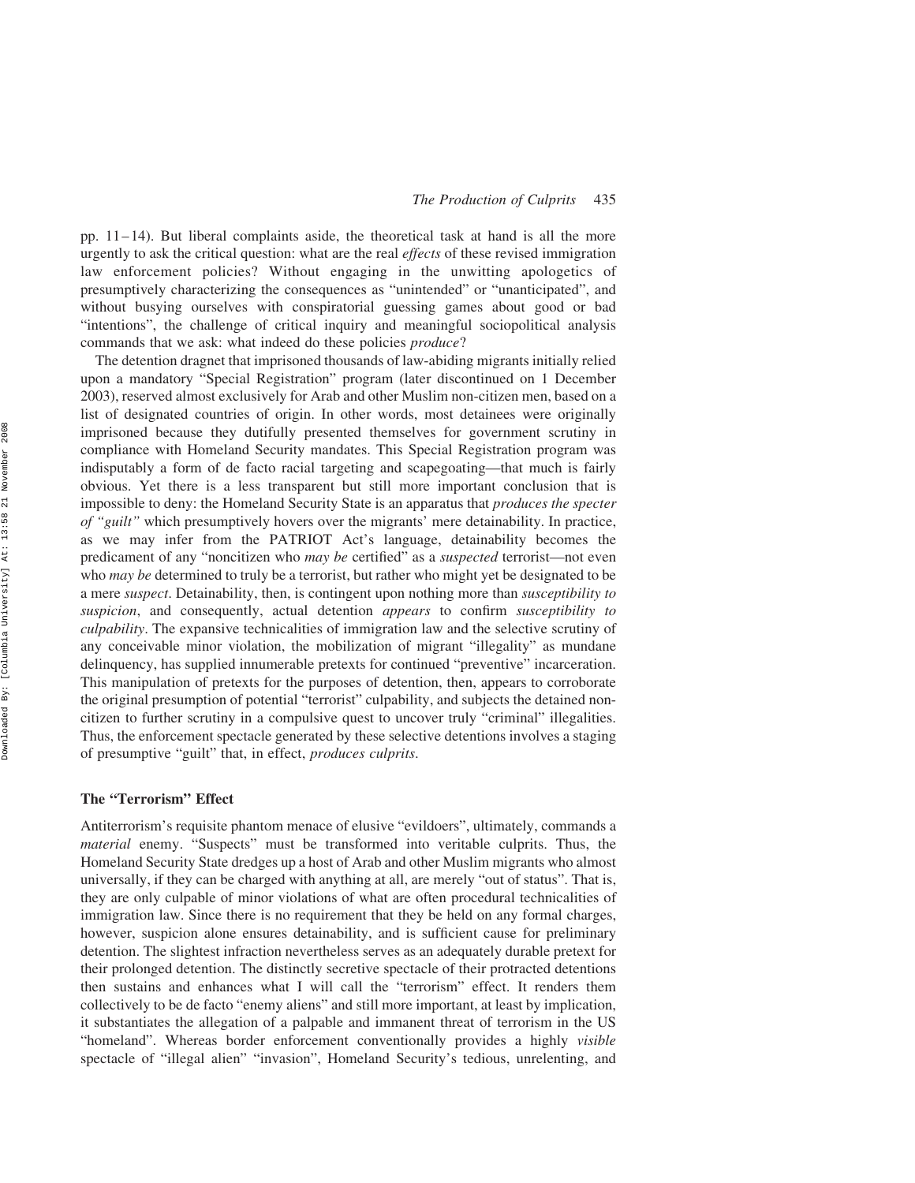pp.  $11-14$ ). But liberal complaints aside, the theoretical task at hand is all the more urgently to ask the critical question: what are the real effects of these revised immigration law enforcement policies? Without engaging in the unwitting apologetics of presumptively characterizing the consequences as "unintended" or "unanticipated", and without busying ourselves with conspiratorial guessing games about good or bad "intentions", the challenge of critical inquiry and meaningful sociopolitical analysis commands that we ask: what indeed do these policies *produce*?

The detention dragnet that imprisoned thousands of law-abiding migrants initially relied upon a mandatory "Special Registration" program (later discontinued on 1 December 2003), reserved almost exclusively for Arab and other Muslim non-citizen men, based on a list of designated countries of origin. In other words, most detainees were originally imprisoned because they dutifully presented themselves for government scrutiny in compliance with Homeland Security mandates. This Special Registration program was indisputably a form of de facto racial targeting and scapegoating—that much is fairly obvious. Yet there is a less transparent but still more important conclusion that is impossible to deny: the Homeland Security State is an apparatus that produces the specter of "guilt" which presumptively hovers over the migrants' mere detainability. In practice, as we may infer from the PATRIOT Act's language, detainability becomes the predicament of any "noncitizen who may be certified" as a suspected terrorist—not even who *may be* determined to truly be a terrorist, but rather who might yet be designated to be a mere suspect. Detainability, then, is contingent upon nothing more than susceptibility to suspicion, and consequently, actual detention *appears* to confirm *susceptibility to* culpability. The expansive technicalities of immigration law and the selective scrutiny of any conceivable minor violation, the mobilization of migrant "illegality" as mundane delinquency, has supplied innumerable pretexts for continued "preventive" incarceration. This manipulation of pretexts for the purposes of detention, then, appears to corroborate the original presumption of potential "terrorist" culpability, and subjects the detained noncitizen to further scrutiny in a compulsive quest to uncover truly "criminal" illegalities. Thus, the enforcement spectacle generated by these selective detentions involves a staging of presumptive "guilt" that, in effect, produces culprits.

#### The "Terrorism" Effect

Antiterrorism's requisite phantom menace of elusive "evildoers", ultimately, commands a material enemy. "Suspects" must be transformed into veritable culprits. Thus, the Homeland Security State dredges up a host of Arab and other Muslim migrants who almost universally, if they can be charged with anything at all, are merely "out of status". That is, they are only culpable of minor violations of what are often procedural technicalities of immigration law. Since there is no requirement that they be held on any formal charges, however, suspicion alone ensures detainability, and is sufficient cause for preliminary detention. The slightest infraction nevertheless serves as an adequately durable pretext for their prolonged detention. The distinctly secretive spectacle of their protracted detentions then sustains and enhances what I will call the "terrorism" effect. It renders them collectively to be de facto "enemy aliens" and still more important, at least by implication, it substantiates the allegation of a palpable and immanent threat of terrorism in the US "homeland". Whereas border enforcement conventionally provides a highly visible spectacle of "illegal alien" "invasion", Homeland Security's tedious, unrelenting, and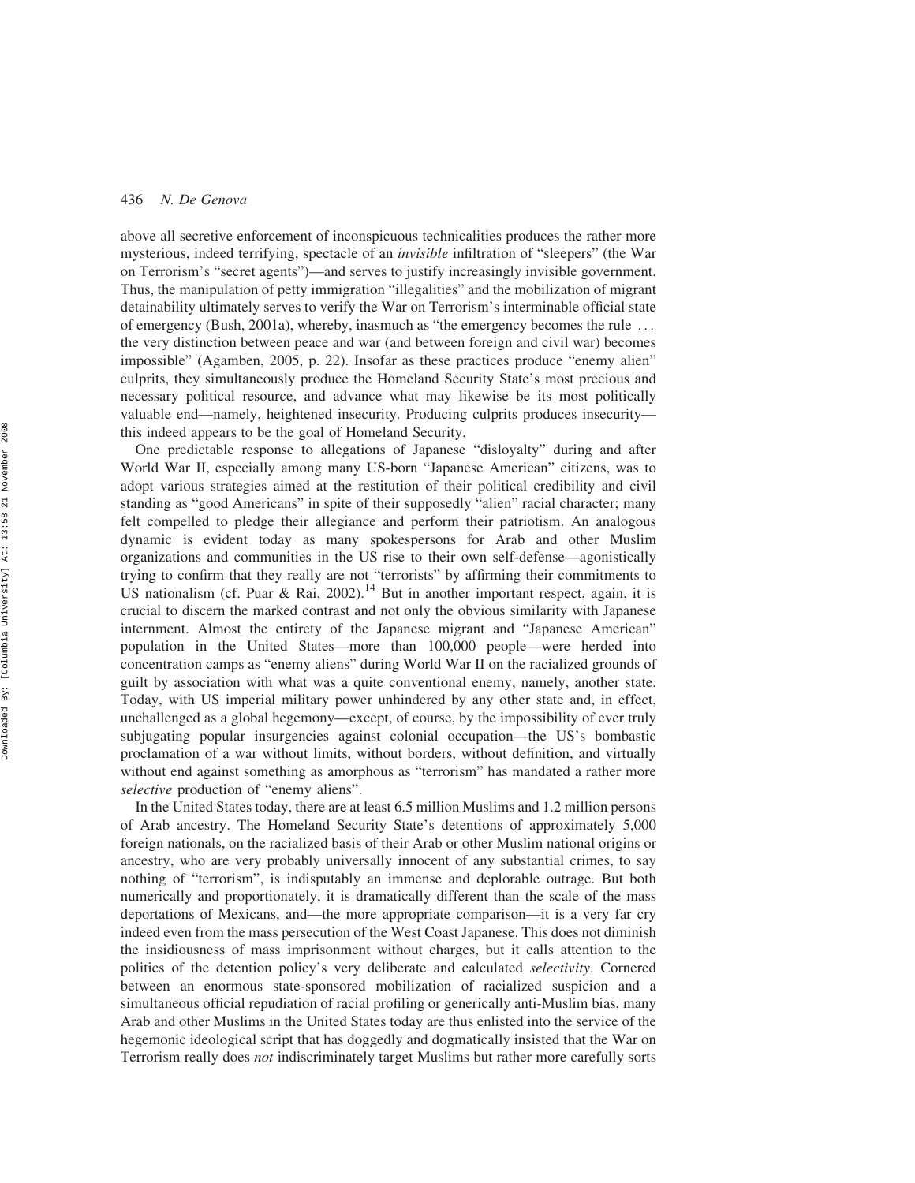above all secretive enforcement of inconspicuous technicalities produces the rather more mysterious, indeed terrifying, spectacle of an invisible infiltration of "sleepers" (the War on Terrorism's "secret agents")—and serves to justify increasingly invisible government. Thus, the manipulation of petty immigration "illegalities" and the mobilization of migrant detainability ultimately serves to verify the War on Terrorism's interminable official state of emergency (Bush, 2001a), whereby, inasmuch as "the emergency becomes the rule ... the very distinction between peace and war (and between foreign and civil war) becomes impossible" (Agamben, 2005, p. 22). Insofar as these practices produce "enemy alien" culprits, they simultaneously produce the Homeland Security State's most precious and necessary political resource, and advance what may likewise be its most politically valuable end—namely, heightened insecurity. Producing culprits produces insecurity this indeed appears to be the goal of Homeland Security.

One predictable response to allegations of Japanese "disloyalty" during and after World War II, especially among many US-born "Japanese American" citizens, was to adopt various strategies aimed at the restitution of their political credibility and civil standing as "good Americans" in spite of their supposedly "alien" racial character; many felt compelled to pledge their allegiance and perform their patriotism. An analogous dynamic is evident today as many spokespersons for Arab and other Muslim organizations and communities in the US rise to their own self-defense—agonistically trying to confirm that they really are not "terrorists" by affirming their commitments to US nationalism (cf. Puar & Rai, 2002).<sup>14</sup> But in another important respect, again, it is crucial to discern the marked contrast and not only the obvious similarity with Japanese internment. Almost the entirety of the Japanese migrant and "Japanese American" population in the United States—more than 100,000 people—were herded into concentration camps as "enemy aliens" during World War II on the racialized grounds of guilt by association with what was a quite conventional enemy, namely, another state. Today, with US imperial military power unhindered by any other state and, in effect, unchallenged as a global hegemony—except, of course, by the impossibility of ever truly subjugating popular insurgencies against colonial occupation—the US's bombastic proclamation of a war without limits, without borders, without definition, and virtually without end against something as amorphous as "terrorism" has mandated a rather more selective production of "enemy aliens".

In the United States today, there are at least 6.5 million Muslims and 1.2 million persons of Arab ancestry. The Homeland Security State's detentions of approximately 5,000 foreign nationals, on the racialized basis of their Arab or other Muslim national origins or ancestry, who are very probably universally innocent of any substantial crimes, to say nothing of "terrorism", is indisputably an immense and deplorable outrage. But both numerically and proportionately, it is dramatically different than the scale of the mass deportations of Mexicans, and—the more appropriate comparison—it is a very far cry indeed even from the mass persecution of the West Coast Japanese. This does not diminish the insidiousness of mass imprisonment without charges, but it calls attention to the politics of the detention policy's very deliberate and calculated selectivity. Cornered between an enormous state-sponsored mobilization of racialized suspicion and a simultaneous official repudiation of racial profiling or generically anti-Muslim bias, many Arab and other Muslims in the United States today are thus enlisted into the service of the hegemonic ideological script that has doggedly and dogmatically insisted that the War on Terrorism really does not indiscriminately target Muslims but rather more carefully sorts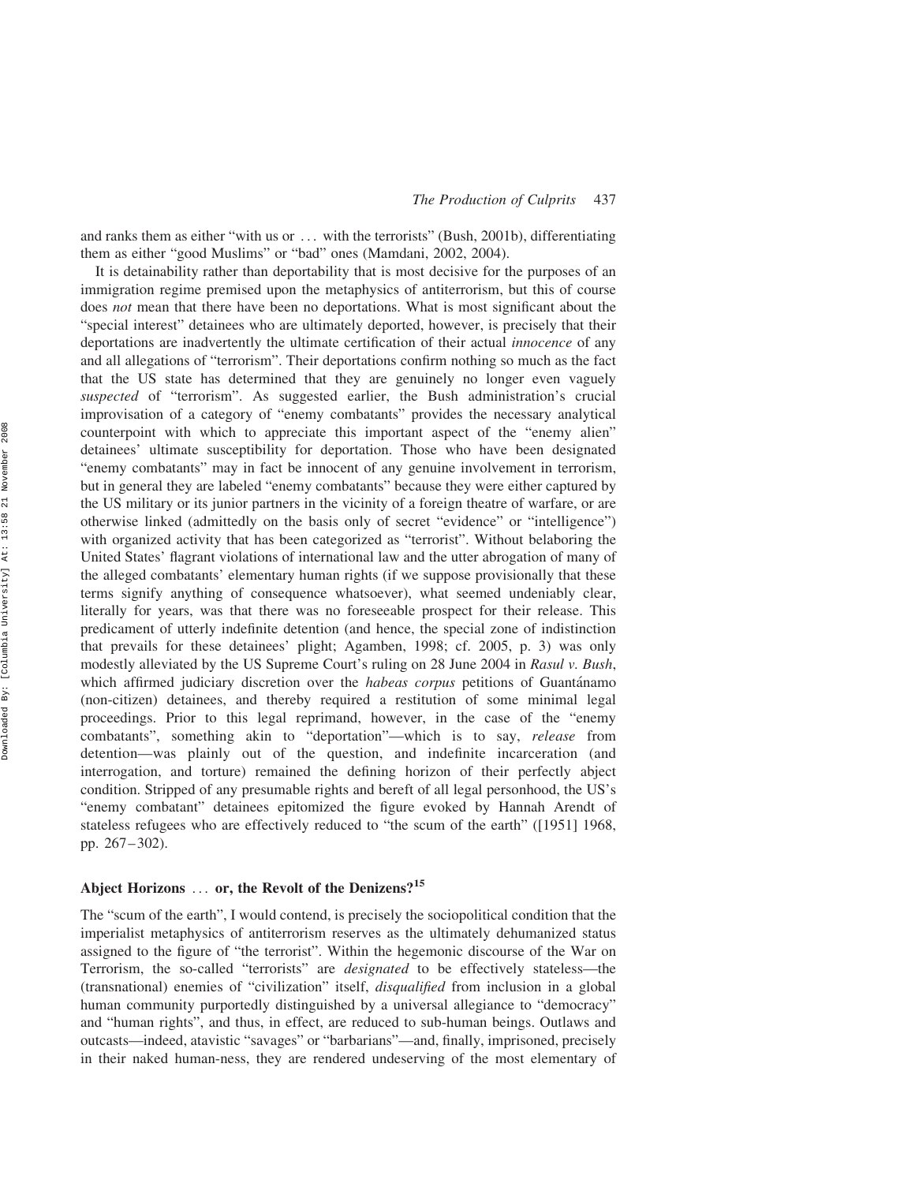and ranks them as either "with us or ... with the terrorists" (Bush, 2001b), differentiating them as either "good Muslims" or "bad" ones (Mamdani, 2002, 2004).

It is detainability rather than deportability that is most decisive for the purposes of an immigration regime premised upon the metaphysics of antiterrorism, but this of course does *not* mean that there have been no deportations. What is most significant about the "special interest" detainees who are ultimately deported, however, is precisely that their deportations are inadvertently the ultimate certification of their actual innocence of any and all allegations of "terrorism". Their deportations confirm nothing so much as the fact that the US state has determined that they are genuinely no longer even vaguely suspected of "terrorism". As suggested earlier, the Bush administration's crucial improvisation of a category of "enemy combatants" provides the necessary analytical counterpoint with which to appreciate this important aspect of the "enemy alien" detainees' ultimate susceptibility for deportation. Those who have been designated "enemy combatants" may in fact be innocent of any genuine involvement in terrorism, but in general they are labeled "enemy combatants" because they were either captured by the US military or its junior partners in the vicinity of a foreign theatre of warfare, or are otherwise linked (admittedly on the basis only of secret "evidence" or "intelligence") with organized activity that has been categorized as "terrorist". Without belaboring the United States' flagrant violations of international law and the utter abrogation of many of the alleged combatants' elementary human rights (if we suppose provisionally that these terms signify anything of consequence whatsoever), what seemed undeniably clear, literally for years, was that there was no foreseeable prospect for their release. This predicament of utterly indefinite detention (and hence, the special zone of indistinction that prevails for these detainees' plight; Agamben, 1998; cf. 2005, p. 3) was only modestly alleviated by the US Supreme Court's ruling on 28 June 2004 in Rasul v. Bush, which affirmed judiciary discretion over the *habeas corpus* petitions of Guantánamo (non-citizen) detainees, and thereby required a restitution of some minimal legal proceedings. Prior to this legal reprimand, however, in the case of the "enemy combatants", something akin to "deportation"—which is to say, release from detention—was plainly out of the question, and indefinite incarceration (and interrogation, and torture) remained the defining horizon of their perfectly abject condition. Stripped of any presumable rights and bereft of all legal personhood, the US's "enemy combatant" detainees epitomized the figure evoked by Hannah Arendt of stateless refugees who are effectively reduced to "the scum of the earth" ([1951] 1968, pp. 267–302).

# Abject Horizons ... or, the Revolt of the Denizens?<sup>15</sup>

The "scum of the earth", I would contend, is precisely the sociopolitical condition that the imperialist metaphysics of antiterrorism reserves as the ultimately dehumanized status assigned to the figure of "the terrorist". Within the hegemonic discourse of the War on Terrorism, the so-called "terrorists" are designated to be effectively stateless—the (transnational) enemies of "civilization" itself, disqualified from inclusion in a global human community purportedly distinguished by a universal allegiance to "democracy" and "human rights", and thus, in effect, are reduced to sub-human beings. Outlaws and outcasts—indeed, atavistic "savages" or "barbarians"—and, finally, imprisoned, precisely in their naked human-ness, they are rendered undeserving of the most elementary of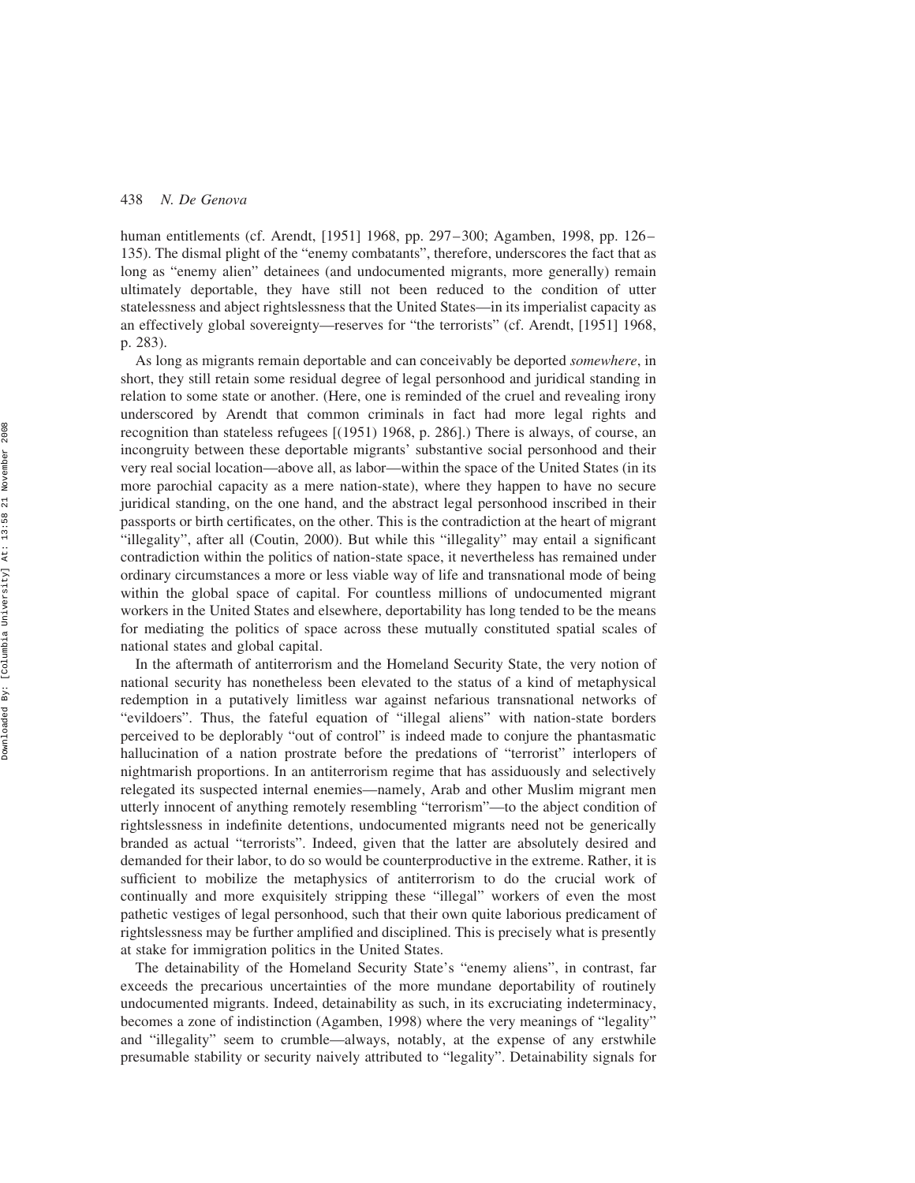human entitlements (cf. Arendt, [1951] 1968, pp. 297–300; Agamben, 1998, pp. 126– 135). The dismal plight of the "enemy combatants", therefore, underscores the fact that as long as "enemy alien" detainees (and undocumented migrants, more generally) remain ultimately deportable, they have still not been reduced to the condition of utter statelessness and abject rightslessness that the United States—in its imperialist capacity as an effectively global sovereignty—reserves for "the terrorists" (cf. Arendt, [1951] 1968, p. 283).

As long as migrants remain deportable and can conceivably be deported somewhere, in short, they still retain some residual degree of legal personhood and juridical standing in relation to some state or another. (Here, one is reminded of the cruel and revealing irony underscored by Arendt that common criminals in fact had more legal rights and recognition than stateless refugees [(1951) 1968, p. 286].) There is always, of course, an incongruity between these deportable migrants' substantive social personhood and their very real social location—above all, as labor—within the space of the United States (in its more parochial capacity as a mere nation-state), where they happen to have no secure juridical standing, on the one hand, and the abstract legal personhood inscribed in their passports or birth certificates, on the other. This is the contradiction at the heart of migrant "illegality", after all (Coutin, 2000). But while this "illegality" may entail a significant contradiction within the politics of nation-state space, it nevertheless has remained under ordinary circumstances a more or less viable way of life and transnational mode of being within the global space of capital. For countless millions of undocumented migrant workers in the United States and elsewhere, deportability has long tended to be the means for mediating the politics of space across these mutually constituted spatial scales of national states and global capital.

In the aftermath of antiterrorism and the Homeland Security State, the very notion of national security has nonetheless been elevated to the status of a kind of metaphysical redemption in a putatively limitless war against nefarious transnational networks of "evildoers". Thus, the fateful equation of "illegal aliens" with nation-state borders perceived to be deplorably "out of control" is indeed made to conjure the phantasmatic hallucination of a nation prostrate before the predations of "terrorist" interlopers of nightmarish proportions. In an antiterrorism regime that has assiduously and selectively relegated its suspected internal enemies—namely, Arab and other Muslim migrant men utterly innocent of anything remotely resembling "terrorism"—to the abject condition of rightslessness in indefinite detentions, undocumented migrants need not be generically branded as actual "terrorists". Indeed, given that the latter are absolutely desired and demanded for their labor, to do so would be counterproductive in the extreme. Rather, it is sufficient to mobilize the metaphysics of antiterrorism to do the crucial work of continually and more exquisitely stripping these "illegal" workers of even the most pathetic vestiges of legal personhood, such that their own quite laborious predicament of rightslessness may be further amplified and disciplined. This is precisely what is presently at stake for immigration politics in the United States.

The detainability of the Homeland Security State's "enemy aliens", in contrast, far exceeds the precarious uncertainties of the more mundane deportability of routinely undocumented migrants. Indeed, detainability as such, in its excruciating indeterminacy, becomes a zone of indistinction (Agamben, 1998) where the very meanings of "legality" and "illegality" seem to crumble—always, notably, at the expense of any erstwhile presumable stability or security naively attributed to "legality". Detainability signals for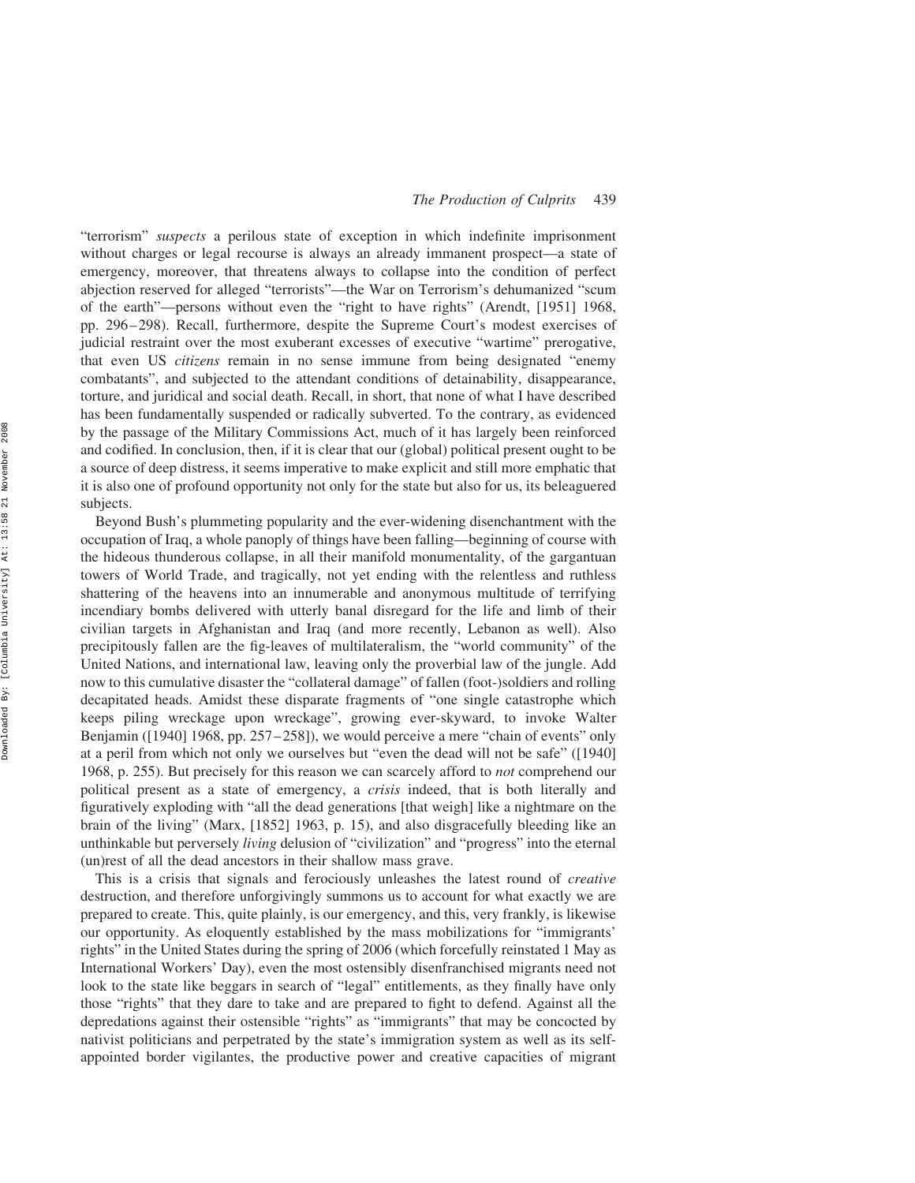"terrorism" suspects a perilous state of exception in which indefinite imprisonment without charges or legal recourse is always an already immanent prospect—a state of emergency, moreover, that threatens always to collapse into the condition of perfect abjection reserved for alleged "terrorists"—the War on Terrorism's dehumanized "scum of the earth"—persons without even the "right to have rights" (Arendt, [1951] 1968, pp. 296–298). Recall, furthermore, despite the Supreme Court's modest exercises of judicial restraint over the most exuberant excesses of executive "wartime" prerogative, that even US *citizens* remain in no sense immune from being designated "enemy combatants", and subjected to the attendant conditions of detainability, disappearance, torture, and juridical and social death. Recall, in short, that none of what I have described has been fundamentally suspended or radically subverted. To the contrary, as evidenced by the passage of the Military Commissions Act, much of it has largely been reinforced and codified. In conclusion, then, if it is clear that our (global) political present ought to be a source of deep distress, it seems imperative to make explicit and still more emphatic that it is also one of profound opportunity not only for the state but also for us, its beleaguered subjects.

Beyond Bush's plummeting popularity and the ever-widening disenchantment with the occupation of Iraq, a whole panoply of things have been falling—beginning of course with the hideous thunderous collapse, in all their manifold monumentality, of the gargantuan towers of World Trade, and tragically, not yet ending with the relentless and ruthless shattering of the heavens into an innumerable and anonymous multitude of terrifying incendiary bombs delivered with utterly banal disregard for the life and limb of their civilian targets in Afghanistan and Iraq (and more recently, Lebanon as well). Also precipitously fallen are the fig-leaves of multilateralism, the "world community" of the United Nations, and international law, leaving only the proverbial law of the jungle. Add now to this cumulative disaster the "collateral damage" of fallen (foot-)soldiers and rolling decapitated heads. Amidst these disparate fragments of "one single catastrophe which keeps piling wreckage upon wreckage", growing ever-skyward, to invoke Walter Benjamin ([1940] 1968, pp. 257-258]), we would perceive a mere "chain of events" only at a peril from which not only we ourselves but "even the dead will not be safe" ([1940] 1968, p. 255). But precisely for this reason we can scarcely afford to *not* comprehend our political present as a state of emergency, a crisis indeed, that is both literally and figuratively exploding with "all the dead generations [that weigh] like a nightmare on the brain of the living" (Marx, [1852] 1963, p. 15), and also disgracefully bleeding like an unthinkable but perversely living delusion of "civilization" and "progress" into the eternal (un)rest of all the dead ancestors in their shallow mass grave.

This is a crisis that signals and ferociously unleashes the latest round of *creative* destruction, and therefore unforgivingly summons us to account for what exactly we are prepared to create. This, quite plainly, is our emergency, and this, very frankly, is likewise our opportunity. As eloquently established by the mass mobilizations for "immigrants' rights" in the United States during the spring of 2006 (which forcefully reinstated 1 May as International Workers' Day), even the most ostensibly disenfranchised migrants need not look to the state like beggars in search of "legal" entitlements, as they finally have only those "rights" that they dare to take and are prepared to fight to defend. Against all the depredations against their ostensible "rights" as "immigrants" that may be concocted by nativist politicians and perpetrated by the state's immigration system as well as its selfappointed border vigilantes, the productive power and creative capacities of migrant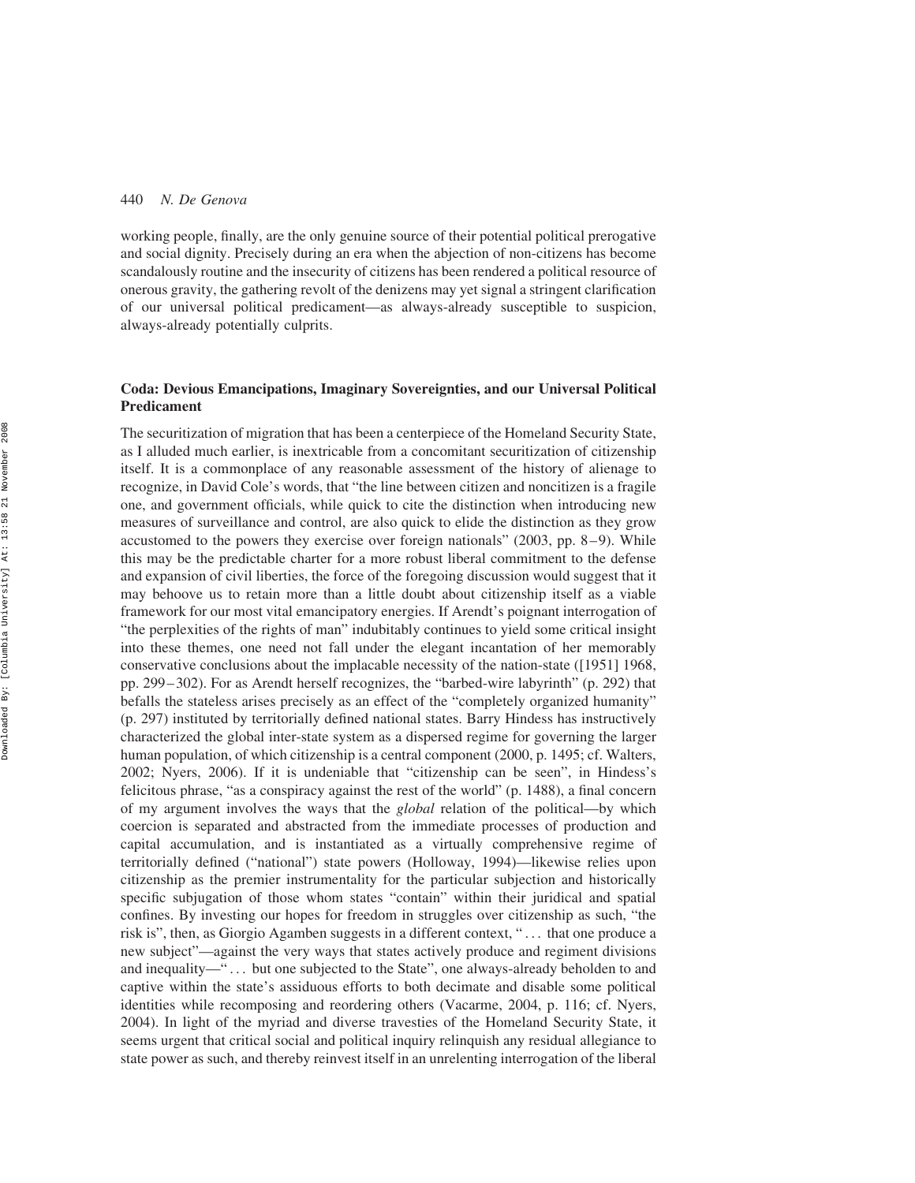working people, finally, are the only genuine source of their potential political prerogative and social dignity. Precisely during an era when the abjection of non-citizens has become scandalously routine and the insecurity of citizens has been rendered a political resource of onerous gravity, the gathering revolt of the denizens may yet signal a stringent clarification of our universal political predicament—as always-already susceptible to suspicion, always-already potentially culprits.

# Coda: Devious Emancipations, Imaginary Sovereignties, and our Universal Political Predicament

The securitization of migration that has been a centerpiece of the Homeland Security State, as I alluded much earlier, is inextricable from a concomitant securitization of citizenship itself. It is a commonplace of any reasonable assessment of the history of alienage to recognize, in David Cole's words, that "the line between citizen and noncitizen is a fragile one, and government officials, while quick to cite the distinction when introducing new measures of surveillance and control, are also quick to elide the distinction as they grow accustomed to the powers they exercise over foreign nationals" (2003, pp. 8–9). While this may be the predictable charter for a more robust liberal commitment to the defense and expansion of civil liberties, the force of the foregoing discussion would suggest that it may behoove us to retain more than a little doubt about citizenship itself as a viable framework for our most vital emancipatory energies. If Arendt's poignant interrogation of "the perplexities of the rights of man" indubitably continues to yield some critical insight into these themes, one need not fall under the elegant incantation of her memorably conservative conclusions about the implacable necessity of the nation-state ([1951] 1968, pp. 299–302). For as Arendt herself recognizes, the "barbed-wire labyrinth" (p. 292) that befalls the stateless arises precisely as an effect of the "completely organized humanity" (p. 297) instituted by territorially defined national states. Barry Hindess has instructively characterized the global inter-state system as a dispersed regime for governing the larger human population, of which citizenship is a central component (2000, p. 1495; cf. Walters, 2002; Nyers, 2006). If it is undeniable that "citizenship can be seen", in Hindess's felicitous phrase, "as a conspiracy against the rest of the world" (p. 1488), a final concern of my argument involves the ways that the global relation of the political—by which coercion is separated and abstracted from the immediate processes of production and capital accumulation, and is instantiated as a virtually comprehensive regime of territorially defined ("national") state powers (Holloway, 1994)—likewise relies upon citizenship as the premier instrumentality for the particular subjection and historically specific subjugation of those whom states "contain" within their juridical and spatial confines. By investing our hopes for freedom in struggles over citizenship as such, "the risk is", then, as Giorgio Agamben suggests in a different context, " ... that one produce a new subject"—against the very ways that states actively produce and regiment divisions and inequality—" ... but one subjected to the State", one always-already beholden to and captive within the state's assiduous efforts to both decimate and disable some political identities while recomposing and reordering others (Vacarme, 2004, p. 116; cf. Nyers, 2004). In light of the myriad and diverse travesties of the Homeland Security State, it seems urgent that critical social and political inquiry relinquish any residual allegiance to state power as such, and thereby reinvest itself in an unrelenting interrogation of the liberal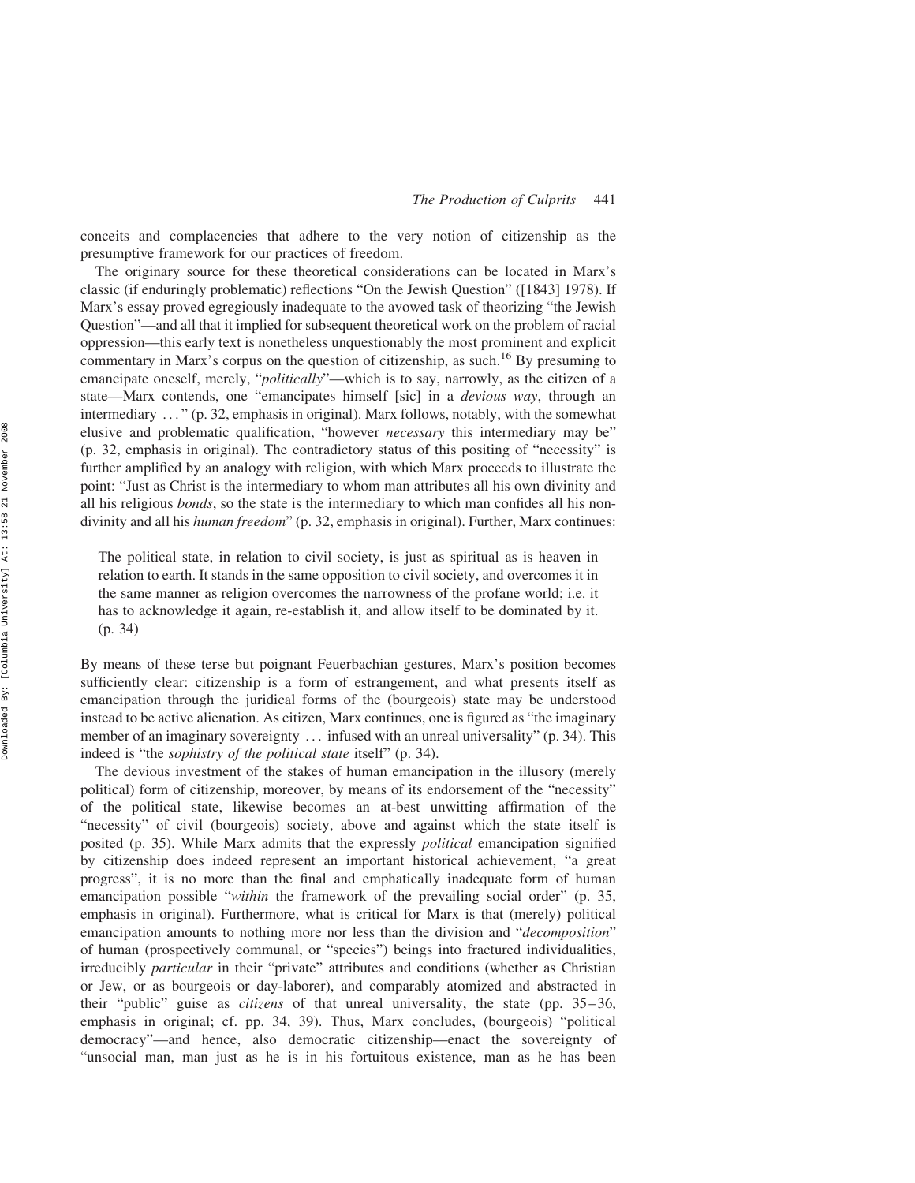conceits and complacencies that adhere to the very notion of citizenship as the presumptive framework for our practices of freedom.

The originary source for these theoretical considerations can be located in Marx's classic (if enduringly problematic) reflections "On the Jewish Question" ([1843] 1978). If Marx's essay proved egregiously inadequate to the avowed task of theorizing "the Jewish Question"—and all that it implied for subsequent theoretical work on the problem of racial oppression—this early text is nonetheless unquestionably the most prominent and explicit commentary in Marx's corpus on the question of citizenship, as such.<sup>16</sup> By presuming to emancipate oneself, merely, "politically"—which is to say, narrowly, as the citizen of a state—Marx contends, one "emancipates himself [sic] in a *devious way*, through an intermediary ... " (p. 32, emphasis in original). Marx follows, notably, with the somewhat elusive and problematic qualification, "however necessary this intermediary may be" (p. 32, emphasis in original). The contradictory status of this positing of "necessity" is further amplified by an analogy with religion, with which Marx proceeds to illustrate the point: "Just as Christ is the intermediary to whom man attributes all his own divinity and all his religious bonds, so the state is the intermediary to which man confides all his nondivinity and all his *human freedom*" (p. 32, emphasis in original). Further, Marx continues:

The political state, in relation to civil society, is just as spiritual as is heaven in relation to earth. It stands in the same opposition to civil society, and overcomes it in the same manner as religion overcomes the narrowness of the profane world; i.e. it has to acknowledge it again, re-establish it, and allow itself to be dominated by it. (p. 34)

By means of these terse but poignant Feuerbachian gestures, Marx's position becomes sufficiently clear: citizenship is a form of estrangement, and what presents itself as emancipation through the juridical forms of the (bourgeois) state may be understood instead to be active alienation. As citizen, Marx continues, one is figured as "the imaginary member of an imaginary sovereignty ... infused with an unreal universality" (p. 34). This indeed is "the sophistry of the political state itself" (p. 34).

The devious investment of the stakes of human emancipation in the illusory (merely political) form of citizenship, moreover, by means of its endorsement of the "necessity" of the political state, likewise becomes an at-best unwitting affirmation of the "necessity" of civil (bourgeois) society, above and against which the state itself is posited (p. 35). While Marx admits that the expressly political emancipation signified by citizenship does indeed represent an important historical achievement, "a great progress", it is no more than the final and emphatically inadequate form of human emancipation possible "within the framework of the prevailing social order" (p. 35, emphasis in original). Furthermore, what is critical for Marx is that (merely) political emancipation amounts to nothing more nor less than the division and "decomposition" of human (prospectively communal, or "species") beings into fractured individualities, irreducibly *particular* in their "private" attributes and conditions (whether as Christian or Jew, or as bourgeois or day-laborer), and comparably atomized and abstracted in their "public" guise as citizens of that unreal universality, the state (pp. 35–36, emphasis in original; cf. pp. 34, 39). Thus, Marx concludes, (bourgeois) "political democracy"—and hence, also democratic citizenship—enact the sovereignty of "unsocial man, man just as he is in his fortuitous existence, man as he has been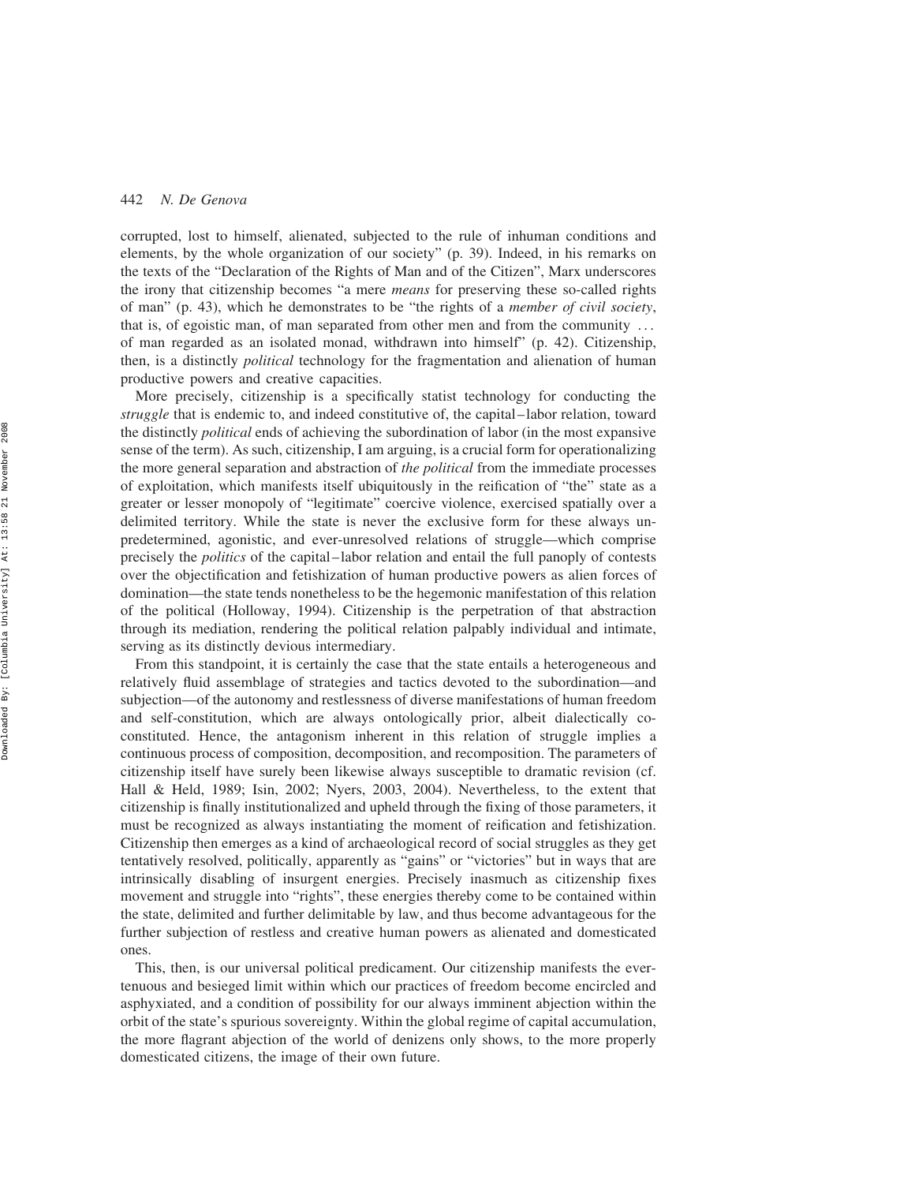corrupted, lost to himself, alienated, subjected to the rule of inhuman conditions and elements, by the whole organization of our society" (p. 39). Indeed, in his remarks on the texts of the "Declaration of the Rights of Man and of the Citizen", Marx underscores the irony that citizenship becomes "a mere *means* for preserving these so-called rights of man" (p. 43), which he demonstrates to be "the rights of a member of civil society, that is, of egoistic man, of man separated from other men and from the community ... of man regarded as an isolated monad, withdrawn into himself" (p. 42). Citizenship, then, is a distinctly *political* technology for the fragmentation and alienation of human productive powers and creative capacities.

More precisely, citizenship is a specifically statist technology for conducting the struggle that is endemic to, and indeed constitutive of, the capital–labor relation, toward the distinctly *political* ends of achieving the subordination of labor (in the most expansive sense of the term). As such, citizenship, I am arguing, is a crucial form for operationalizing the more general separation and abstraction of the political from the immediate processes of exploitation, which manifests itself ubiquitously in the reification of "the" state as a greater or lesser monopoly of "legitimate" coercive violence, exercised spatially over a delimited territory. While the state is never the exclusive form for these always unpredetermined, agonistic, and ever-unresolved relations of struggle—which comprise precisely the politics of the capital–labor relation and entail the full panoply of contests over the objectification and fetishization of human productive powers as alien forces of domination—the state tends nonetheless to be the hegemonic manifestation of this relation of the political (Holloway, 1994). Citizenship is the perpetration of that abstraction through its mediation, rendering the political relation palpably individual and intimate, serving as its distinctly devious intermediary.

From this standpoint, it is certainly the case that the state entails a heterogeneous and relatively fluid assemblage of strategies and tactics devoted to the subordination—and subjection—of the autonomy and restlessness of diverse manifestations of human freedom and self-constitution, which are always ontologically prior, albeit dialectically coconstituted. Hence, the antagonism inherent in this relation of struggle implies a continuous process of composition, decomposition, and recomposition. The parameters of citizenship itself have surely been likewise always susceptible to dramatic revision (cf. Hall & Held, 1989; Isin, 2002; Nyers, 2003, 2004). Nevertheless, to the extent that citizenship is finally institutionalized and upheld through the fixing of those parameters, it must be recognized as always instantiating the moment of reification and fetishization. Citizenship then emerges as a kind of archaeological record of social struggles as they get tentatively resolved, politically, apparently as "gains" or "victories" but in ways that are intrinsically disabling of insurgent energies. Precisely inasmuch as citizenship fixes movement and struggle into "rights", these energies thereby come to be contained within the state, delimited and further delimitable by law, and thus become advantageous for the further subjection of restless and creative human powers as alienated and domesticated ones.

This, then, is our universal political predicament. Our citizenship manifests the evertenuous and besieged limit within which our practices of freedom become encircled and asphyxiated, and a condition of possibility for our always imminent abjection within the orbit of the state's spurious sovereignty. Within the global regime of capital accumulation, the more flagrant abjection of the world of denizens only shows, to the more properly domesticated citizens, the image of their own future.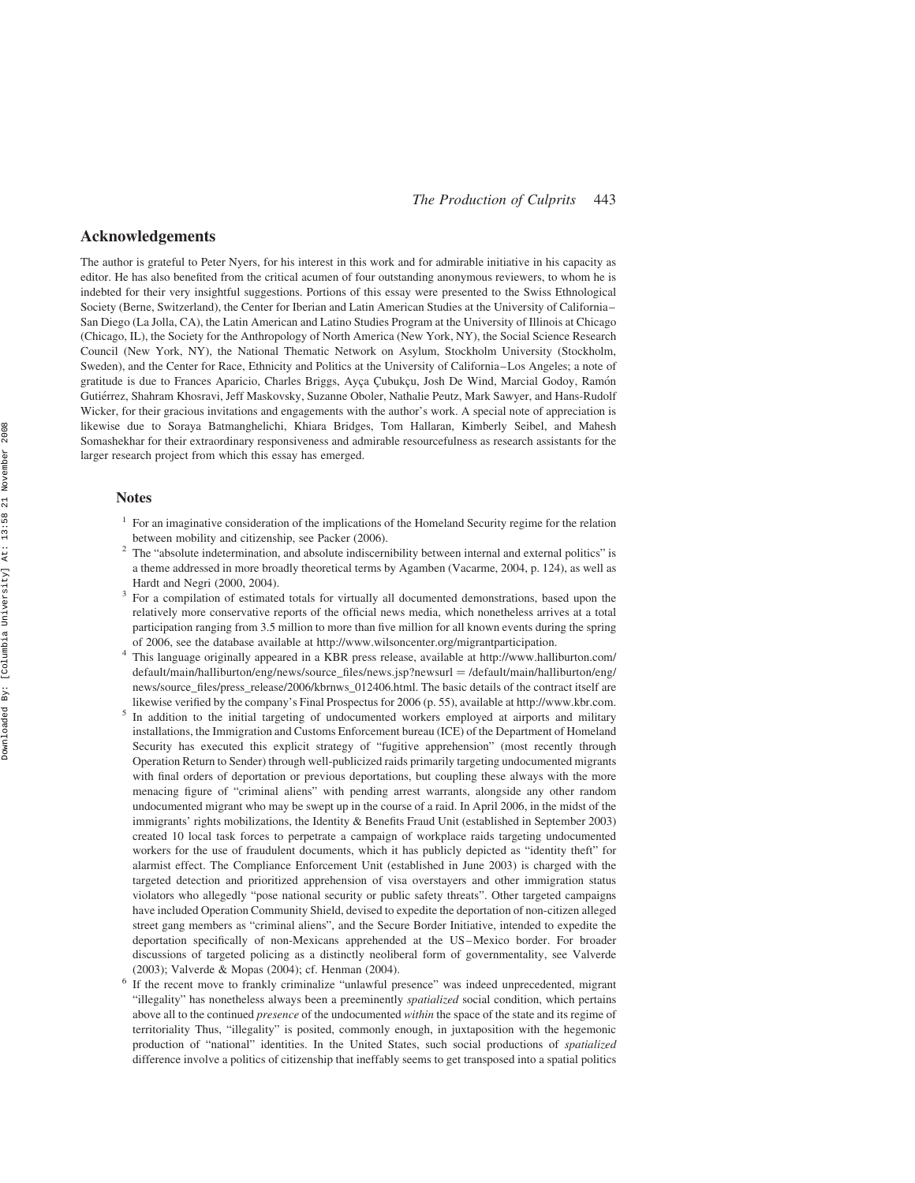# Acknowledgements

The author is grateful to Peter Nyers, for his interest in this work and for admirable initiative in his capacity as editor. He has also benefited from the critical acumen of four outstanding anonymous reviewers, to whom he is indebted for their very insightful suggestions. Portions of this essay were presented to the Swiss Ethnological Society (Berne, Switzerland), the Center for Iberian and Latin American Studies at the University of California– San Diego (La Jolla, CA), the Latin American and Latino Studies Program at the University of Illinois at Chicago (Chicago, IL), the Society for the Anthropology of North America (New York, NY), the Social Science Research Council (New York, NY), the National Thematic Network on Asylum, Stockholm University (Stockholm, Sweden), and the Center for Race, Ethnicity and Politics at the University of California–Los Angeles; a note of gratitude is due to Frances Aparicio, Charles Briggs, Ayça Çubukçu, Josh De Wind, Marcial Godoy, Ramón Gutiérrez, Shahram Khosravi, Jeff Maskovsky, Suzanne Oboler, Nathalie Peutz, Mark Sawyer, and Hans-Rudolf Wicker, for their gracious invitations and engagements with the author's work. A special note of appreciation is likewise due to Soraya Batmanghelichi, Khiara Bridges, Tom Hallaran, Kimberly Seibel, and Mahesh Somashekhar for their extraordinary responsiveness and admirable resourcefulness as research assistants for the larger research project from which this essay has emerged.

#### Notes

- <sup>1</sup> For an imaginative consideration of the implications of the Homeland Security regime for the relation between mobility and citizenship, see Packer (2006).<br>The "absolute indetermination, and absolute indiscernibility between internal and external politics" is
- a theme addressed in more broadly theoretical terms by Agamben (Vacarme, 2004, p. 124), as well as Hardt and Negri (2000, 2004).<br><sup>3</sup> For a compilation of estimated totals for virtually all documented demonstrations, based upon the
- relatively more conservative reports of the official news media, which nonetheless arrives at a total participation ranging from 3.5 million to more than five million for all known events during the spring
- of 2006, see the database available at http://www.wilsoncenter.org/migrantparticipation. <sup>4</sup> This language originally appeared in a KBR press release, available at http://www.halliburton.com/ default/main/halliburton/eng/news/source\_files/news.jsp?newsurl = /default/main/halliburton/eng/ news/source\_files/press\_release/2006/kbrnws\_012406.html. The basic details of the contract itself are
- likewise verified by the company's Final Prospectus for 2006 (p. 55), available at http://www.kbr.com.<br>In addition to the initial targeting of undocumented workers employed at airports and military installations, the Immigration and Customs Enforcement bureau (ICE) of the Department of Homeland Security has executed this explicit strategy of "fugitive apprehension" (most recently through Operation Return to Sender) through well-publicized raids primarily targeting undocumented migrants with final orders of deportation or previous deportations, but coupling these always with the more menacing figure of "criminal aliens" with pending arrest warrants, alongside any other random undocumented migrant who may be swept up in the course of a raid. In April 2006, in the midst of the immigrants' rights mobilizations, the Identity & Benefits Fraud Unit (established in September 2003) created 10 local task forces to perpetrate a campaign of workplace raids targeting undocumented workers for the use of fraudulent documents, which it has publicly depicted as "identity theft" for alarmist effect. The Compliance Enforcement Unit (established in June 2003) is charged with the targeted detection and prioritized apprehension of visa overstayers and other immigration status violators who allegedly "pose national security or public safety threats". Other targeted campaigns have included Operation Community Shield, devised to expedite the deportation of non-citizen alleged street gang members as "criminal aliens", and the Secure Border Initiative, intended to expedite the deportation specifically of non-Mexicans apprehended at the US–Mexico border. For broader discussions of targeted policing as a distinctly neoliberal form of governmentality, see Valverde (2003); Valverde & Mopas (2004); cf. Henman (2004).<br>If the recent move to frankly criminalize "unlawful presence" was indeed unprecedented, migrant
- "illegality" has nonetheless always been a preeminently spatialized social condition, which pertains above all to the continued *presence* of the undocumented *within* the space of the state and its regime of territoriality Thus, "illegality" is posited, commonly enough, in juxtaposition with the hegemonic production of "national" identities. In the United States, such social productions of spatialized difference involve a politics of citizenship that ineffably seems to get transposed into a spatial politics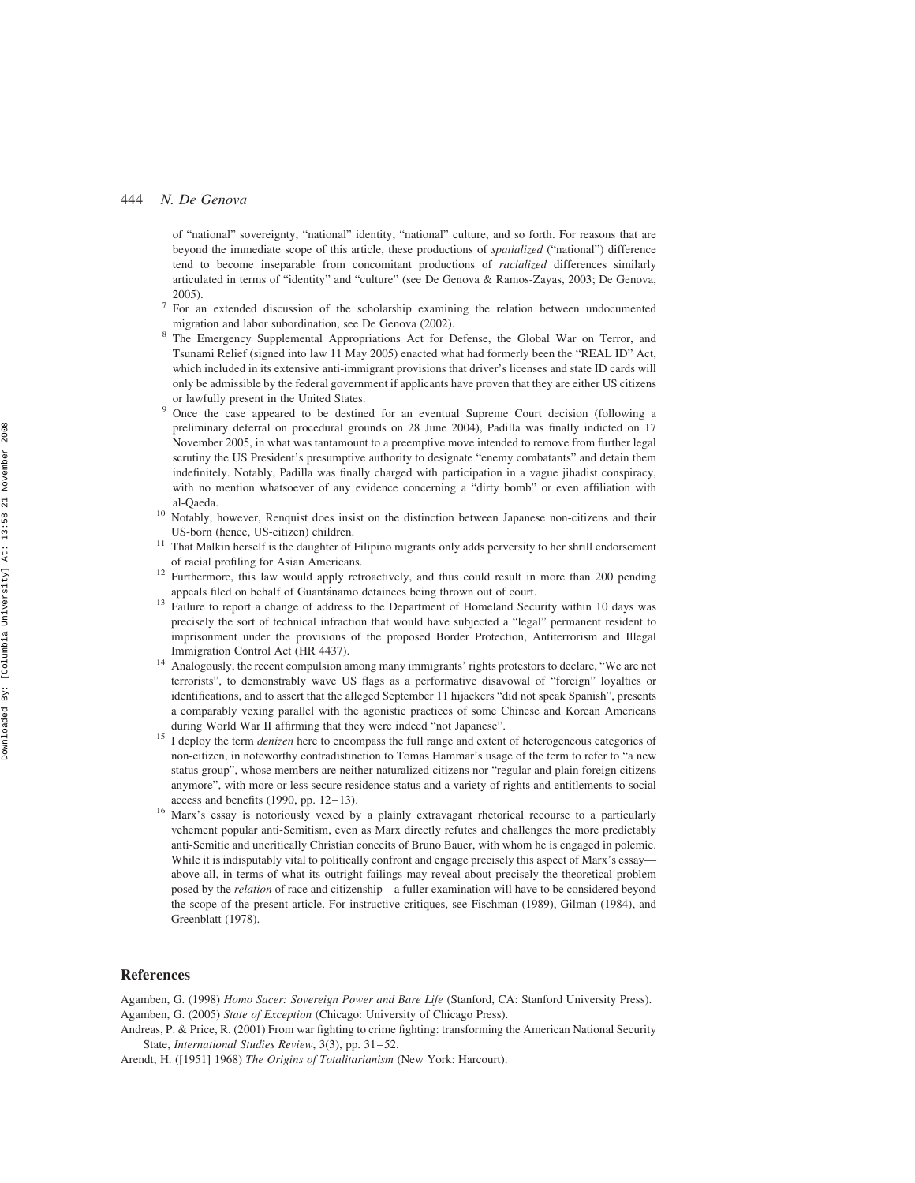of "national" sovereignty, "national" identity, "national" culture, and so forth. For reasons that are beyond the immediate scope of this article, these productions of spatialized ("national") difference tend to become inseparable from concomitant productions of racialized differences similarly articulated in terms of "identity" and "culture" (see De Genova & Ramos-Zayas, 2003; De Genova, 2005).<br><sup>7</sup> For an extended discussion of the scholarship examining the relation between undocumented

- migration and labor subordination, see De Genova (2002).<br>The Emergency Supplemental Appropriations Act for Defense, the Global War on Terror, and
- Tsunami Relief (signed into law 11 May 2005) enacted what had formerly been the "REAL ID" Act, which included in its extensive anti-immigrant provisions that driver's licenses and state ID cards will only be admissible by the federal government if applicants have proven that they are either US citizens
- or lawfully present in the United States. <sup>9</sup> Once the case appeared to be destined for an eventual Supreme Court decision (following a preliminary deferral on procedural grounds on 28 June 2004), Padilla was finally indicted on 17 November 2005, in what was tantamount to a preemptive move intended to remove from further legal scrutiny the US President's presumptive authority to designate "enemy combatants" and detain them indefinitely. Notably, Padilla was finally charged with participation in a vague jihadist conspiracy, with no mention whatsoever of any evidence concerning a "dirty bomb" or even affiliation with
- al-Qaeda.<br><sup>10</sup> Notably, however, Renquist does insist on the distinction between Japanese non-citizens and their US-born (hence, US-citizen) children.
- <sup>11</sup> That Malkin herself is the daughter of Filipino migrants only adds perversity to her shrill endorsement
- of racial profiling for Asian Americans.<br><sup>12</sup> Furthermore, this law would apply retroactively, and thus could result in more than 200 pending appeals filed on behalf of Guantánamo detainees being thrown out of court.
- $\frac{13}{13}$  Failure to report a change of address to the Department of Homeland Security within 10 days was precisely the sort of technical infraction that would have subjected a "legal" permanent resident to imprisonment under the provisions of the proposed Border Protection, Antiterrorism and Illegal Immigration Control Act (HR 4437).<br><sup>14</sup> Analogously, the recent compulsion among many immigrants' rights protestors to declare, "We are not
- terrorists", to demonstrably wave US flags as a performative disavowal of "foreign" loyalties or identifications, and to assert that the alleged September 11 hijackers "did not speak Spanish", presents a comparably vexing parallel with the agonistic practices of some Chinese and Korean Americans
- during World War II affirming that they were indeed "not Japanese".<br><sup>15</sup> I deploy the term *denizen* here to encompass the full range and extent of heterogeneous categories of non-citizen, in noteworthy contradistinction to Tomas Hammar's usage of the term to refer to "a new status group", whose members are neither naturalized citizens nor "regular and plain foreign citizens anymore", with more or less secure residence status and a variety of rights and entitlements to social access and benefits  $(1990, pp. 12-13)$ .
- <sup>16</sup> Marx's essay is notoriously vexed by a plainly extravagant rhetorical recourse to a particularly vehement popular anti-Semitism, even as Marx directly refutes and challenges the more predictably anti-Semitic and uncritically Christian conceits of Bruno Bauer, with whom he is engaged in polemic. While it is indisputably vital to politically confront and engage precisely this aspect of Marx's essay above all, in terms of what its outright failings may reveal about precisely the theoretical problem posed by the relation of race and citizenship—a fuller examination will have to be considered beyond the scope of the present article. For instructive critiques, see Fischman (1989), Gilman (1984), and Greenblatt (1978).

### References

Agamben, G. (1998) Homo Sacer: Sovereign Power and Bare Life (Stanford, CA: Stanford University Press). Agamben, G. (2005) State of Exception (Chicago: University of Chicago Press).

Andreas, P. & Price, R. (2001) From war fighting to crime fighting: transforming the American National Security State, International Studies Review, 3(3), pp. 31–52.

Arendt, H. ([1951] 1968) The Origins of Totalitarianism (New York: Harcourt).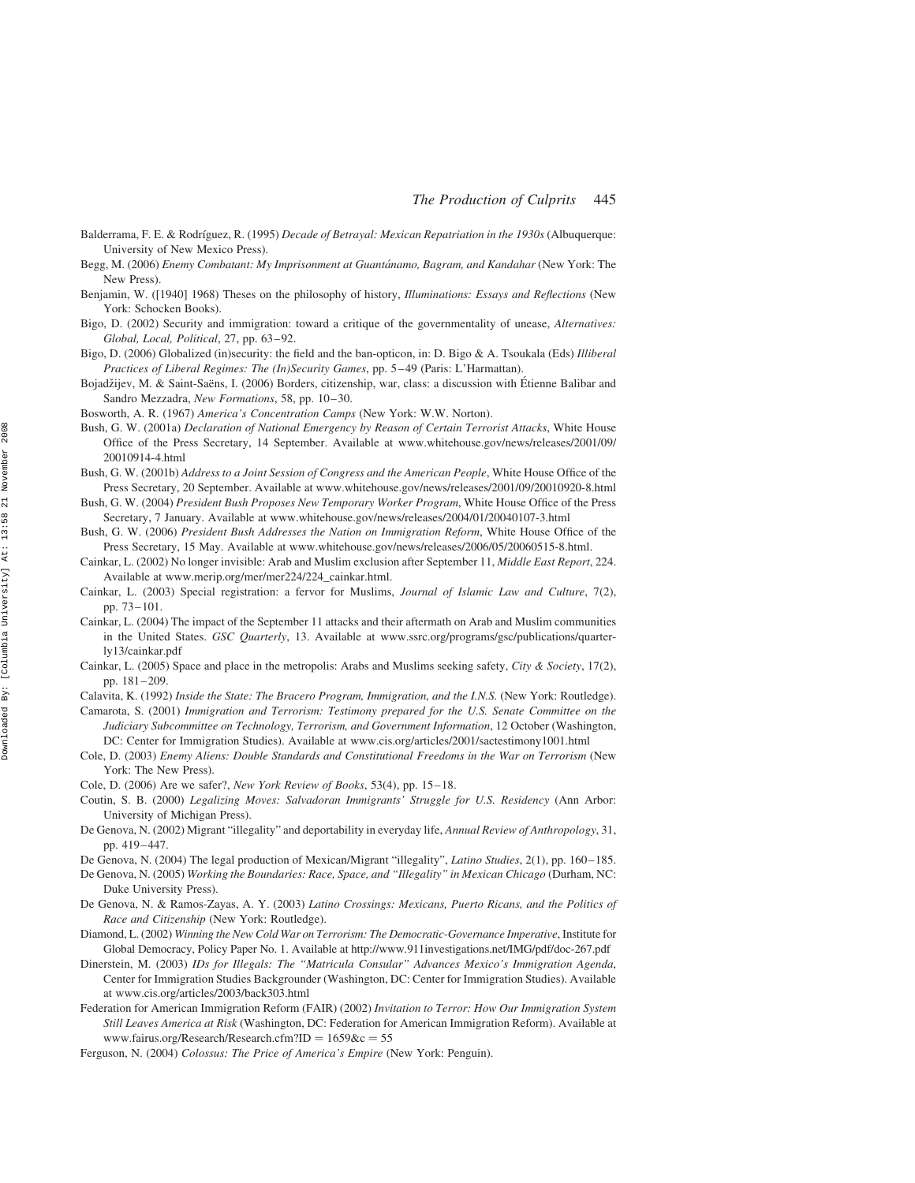- Balderrama, F. E. & Rodríguez, R. (1995) Decade of Betrayal: Mexican Repatriation in the 1930s (Albuquerque: University of New Mexico Press).
- Begg, M. (2006) Enemy Combatant: My Imprisonment at Guantánamo, Bagram, and Kandahar (New York: The New Press).
- Benjamin, W. ([1940] 1968) Theses on the philosophy of history, Illuminations: Essays and Reflections (New York: Schocken Books).
- Bigo, D. (2002) Security and immigration: toward a critique of the governmentality of unease, Alternatives: Global, Local, Political, 27, pp. 63–92.
- Bigo, D. (2006) Globalized (in)security: the field and the ban-opticon, in: D. Bigo & A. Tsoukala (Eds) Illiberal Practices of Liberal Regimes: The (In)Security Games, pp. 5–49 (Paris: L'Harmattan).
- Bojadžijev, M. & Saint-Saëns, I. (2006) Borders, citizenship, war, class: a discussion with Étienne Balibar and Sandro Mezzadra, New Formations, 58, pp. 10–30.
- Bosworth, A. R. (1967) America's Concentration Camps (New York: W.W. Norton).
- Bush, G. W. (2001a) Declaration of National Emergency by Reason of Certain Terrorist Attacks, White House Office of the Press Secretary, 14 September. Available at www.whitehouse.gov/news/releases/2001/09/ 20010914-4.html
- Bush, G. W. (2001b) Address to a Joint Session of Congress and the American People, White House Office of the Press Secretary, 20 September. Available at www.whitehouse.gov/news/releases/2001/09/20010920-8.html
- Bush, G. W. (2004) President Bush Proposes New Temporary Worker Program, White House Office of the Press Secretary, 7 January. Available at www.whitehouse.gov/news/releases/2004/01/20040107-3.html
- Bush, G. W. (2006) President Bush Addresses the Nation on Immigration Reform, White House Office of the Press Secretary, 15 May. Available at www.whitehouse.gov/news/releases/2006/05/20060515-8.html.
- Cainkar, L. (2002) No longer invisible: Arab and Muslim exclusion after September 11, Middle East Report, 224. Available at www.merip.org/mer/mer224/224\_cainkar.html.
- Cainkar, L. (2003) Special registration: a fervor for Muslims, Journal of Islamic Law and Culture, 7(2), pp. 73–101.
- Cainkar, L. (2004) The impact of the September 11 attacks and their aftermath on Arab and Muslim communities in the United States. GSC Quarterly, 13. Available at www.ssrc.org/programs/gsc/publications/quarterly13/cainkar.pdf
- Cainkar, L. (2005) Space and place in the metropolis: Arabs and Muslims seeking safety, City & Society, 17(2), pp. 181–209.
- Calavita, K. (1992) Inside the State: The Bracero Program, Immigration, and the I.N.S. (New York: Routledge).
- Camarota, S. (2001) Immigration and Terrorism: Testimony prepared for the U.S. Senate Committee on the Judiciary Subcommittee on Technology, Terrorism, and Government Information, 12 October (Washington, DC: Center for Immigration Studies). Available at www.cis.org/articles/2001/sactestimony1001.html
- Cole, D. (2003) Enemy Aliens: Double Standards and Constitutional Freedoms in the War on Terrorism (New York: The New Press).
- Cole, D. (2006) Are we safer?, New York Review of Books, 53(4), pp. 15–18.
- Coutin, S. B. (2000) Legalizing Moves: Salvadoran Immigrants' Struggle for U.S. Residency (Ann Arbor: University of Michigan Press).
- De Genova, N. (2002) Migrant "illegality" and deportability in everyday life, Annual Review of Anthropology, 31, pp. 419–447.
- De Genova, N. (2004) The legal production of Mexican/Migrant "illegality", Latino Studies, 2(1), pp. 160–185.
- De Genova, N. (2005) Working the Boundaries: Race, Space, and "Illegality" in Mexican Chicago (Durham, NC: Duke University Press).
- De Genova, N. & Ramos-Zayas, A. Y. (2003) Latino Crossings: Mexicans, Puerto Ricans, and the Politics of Race and Citizenship (New York: Routledge).
- Diamond, L. (2002) Winning the New Cold War on Terrorism: The Democratic-Governance Imperative, Institute for Global Democracy, Policy Paper No. 1. Available at http://www.911investigations.net/IMG/pdf/doc-267.pdf
- Dinerstein, M. (2003) IDs for Illegals: The "Matricula Consular" Advances Mexico's Immigration Agenda, Center for Immigration Studies Backgrounder (Washington, DC: Center for Immigration Studies). Available at www.cis.org/articles/2003/back303.html
- Federation for American Immigration Reform (FAIR) (2002) Invitation to Terror: How Our Immigration System Still Leaves America at Risk (Washington, DC: Federation for American Immigration Reform). Available at www.fairus.org/Research/Research.cfm?ID =  $1659$ &c = 55
- Ferguson, N. (2004) Colossus: The Price of America's Empire (New York: Penguin).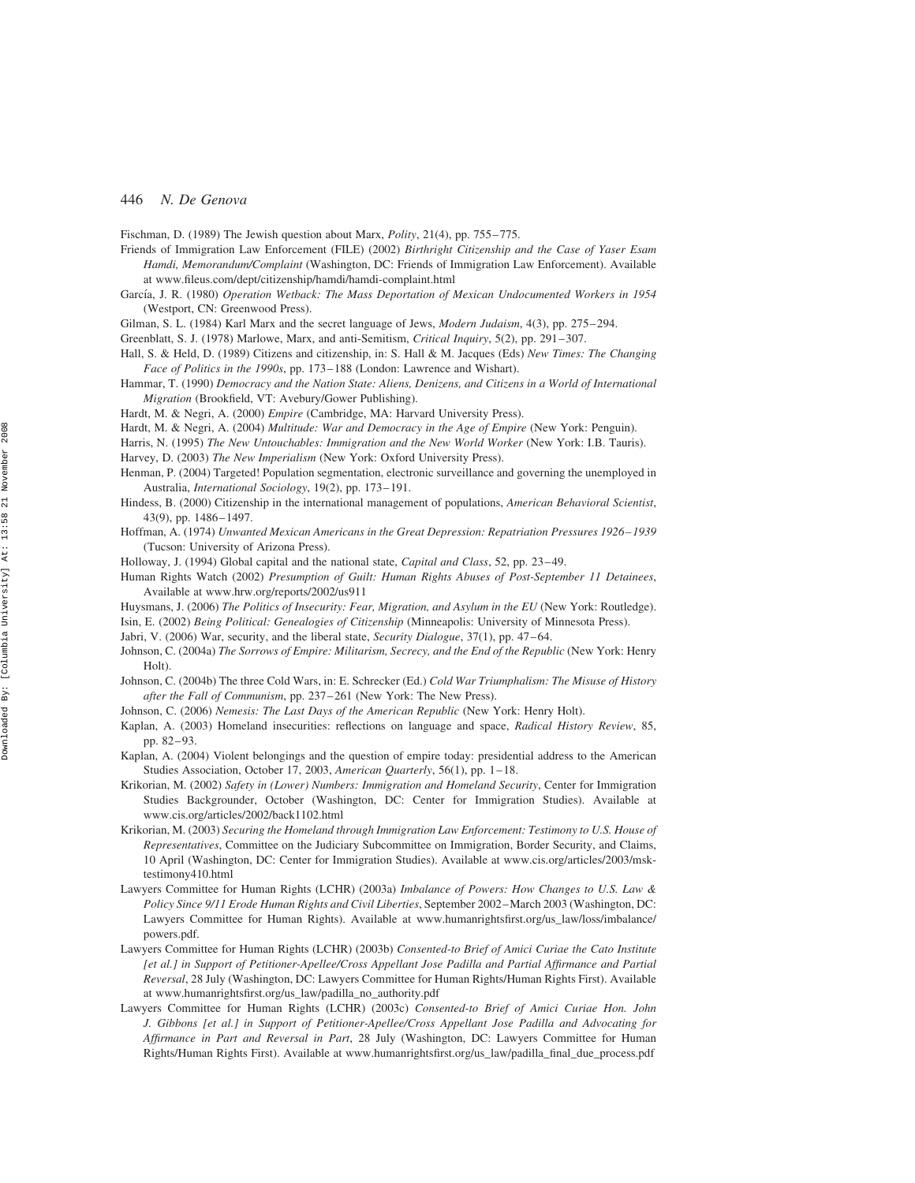Fischman, D. (1989) The Jewish question about Marx, Polity, 21(4), pp. 755–775.

- Friends of Immigration Law Enforcement (FILE) (2002) Birthright Citizenship and the Case of Yaser Esam Hamdi, Memorandum/Complaint (Washington, DC: Friends of Immigration Law Enforcement). Available at www.fileus.com/dept/citizenship/hamdi/hamdi-complaint.html
- García, J. R. (1980) Operation Wetback: The Mass Deportation of Mexican Undocumented Workers in 1954 (Westport, CN: Greenwood Press).
- Gilman, S. L. (1984) Karl Marx and the secret language of Jews, Modern Judaism, 4(3), pp. 275–294.
- Greenblatt, S. J. (1978) Marlowe, Marx, and anti-Semitism, Critical Inquiry, 5(2), pp. 291–307.
- Hall, S. & Held, D. (1989) Citizens and citizenship, in: S. Hall & M. Jacques (Eds) New Times: The Changing Face of Politics in the 1990s, pp. 173–188 (London: Lawrence and Wishart).
- Hammar, T. (1990) Democracy and the Nation State: Aliens, Denizens, and Citizens in a World of International Migration (Brookfield, VT: Avebury/Gower Publishing).
- Hardt, M. & Negri, A. (2000) Empire (Cambridge, MA: Harvard University Press).
- Hardt, M. & Negri, A. (2004) Multitude: War and Democracy in the Age of Empire (New York: Penguin).
- Harris, N. (1995) The New Untouchables: Immigration and the New World Worker (New York: I.B. Tauris). Harvey, D. (2003) The New Imperialism (New York: Oxford University Press).
- Henman, P. (2004) Targeted! Population segmentation, electronic surveillance and governing the unemployed in Australia, International Sociology, 19(2), pp. 173–191.
- Hindess, B. (2000) Citizenship in the international management of populations, American Behavioral Scientist, 43(9), pp. 1486–1497.
- Hoffman, A. (1974) Unwanted Mexican Americans in the Great Depression: Repatriation Pressures 1926– 1939 (Tucson: University of Arizona Press).
- Holloway, J. (1994) Global capital and the national state, Capital and Class, 52, pp. 23–49.
- Human Rights Watch (2002) Presumption of Guilt: Human Rights Abuses of Post-September 11 Detainees, Available at www.hrw.org/reports/2002/us911
- Huysmans, J. (2006) The Politics of Insecurity: Fear, Migration, and Asylum in the EU (New York: Routledge). Isin, E. (2002) Being Political: Genealogies of Citizenship (Minneapolis: University of Minnesota Press).
- Jabri, V. (2006) War, security, and the liberal state, Security Dialogue, 37(1), pp. 47–64.
- Johnson, C. (2004a) The Sorrows of Empire: Militarism, Secrecy, and the End of the Republic (New York: Henry Holt)
- Johnson, C. (2004b) The three Cold Wars, in: E. Schrecker (Ed.) Cold War Triumphalism: The Misuse of History after the Fall of Communism, pp. 237–261 (New York: The New Press).
- Johnson, C. (2006) Nemesis: The Last Days of the American Republic (New York: Henry Holt).
- Kaplan, A. (2003) Homeland insecurities: reflections on language and space, Radical History Review, 85, pp. 82–93.
- Kaplan, A. (2004) Violent belongings and the question of empire today: presidential address to the American Studies Association, October 17, 2003, American Quarterly, 56(1), pp. 1-18.
- Krikorian, M. (2002) Safety in (Lower) Numbers: Immigration and Homeland Security, Center for Immigration Studies Backgrounder, October (Washington, DC: Center for Immigration Studies). Available at www.cis.org/articles/2002/back1102.html
- Krikorian, M. (2003) Securing the Homeland through Immigration Law Enforcement: Testimony to U.S. House of Representatives, Committee on the Judiciary Subcommittee on Immigration, Border Security, and Claims, 10 April (Washington, DC: Center for Immigration Studies). Available at www.cis.org/articles/2003/msktestimony410.html
- Lawyers Committee for Human Rights (LCHR) (2003a) Imbalance of Powers: How Changes to U.S. Law & Policy Since 9/11 Erode Human Rights and Civil Liberties, September 2002–March 2003 (Washington, DC: Lawyers Committee for Human Rights). Available at www.humanrightsfirst.org/us\_law/loss/imbalance/ powers.pdf.
- Lawyers Committee for Human Rights (LCHR) (2003b) Consented-to Brief of Amici Curiae the Cato Institute [et al.] in Support of Petitioner-Apellee/Cross Appellant Jose Padilla and Partial Affirmance and Partial Reversal, 28 July (Washington, DC: Lawyers Committee for Human Rights/Human Rights First). Available at www.humanrightsfirst.org/us\_law/padilla\_no\_authority.pdf
- Lawyers Committee for Human Rights (LCHR) (2003c) Consented-to Brief of Amici Curiae Hon. John J. Gibbons [et al.] in Support of Petitioner-Apellee/Cross Appellant Jose Padilla and Advocating for Affirmance in Part and Reversal in Part, 28 July (Washington, DC: Lawyers Committee for Human Rights/Human Rights First). Available at www.humanrightsfirst.org/us\_law/padilla\_final\_due\_process.pdf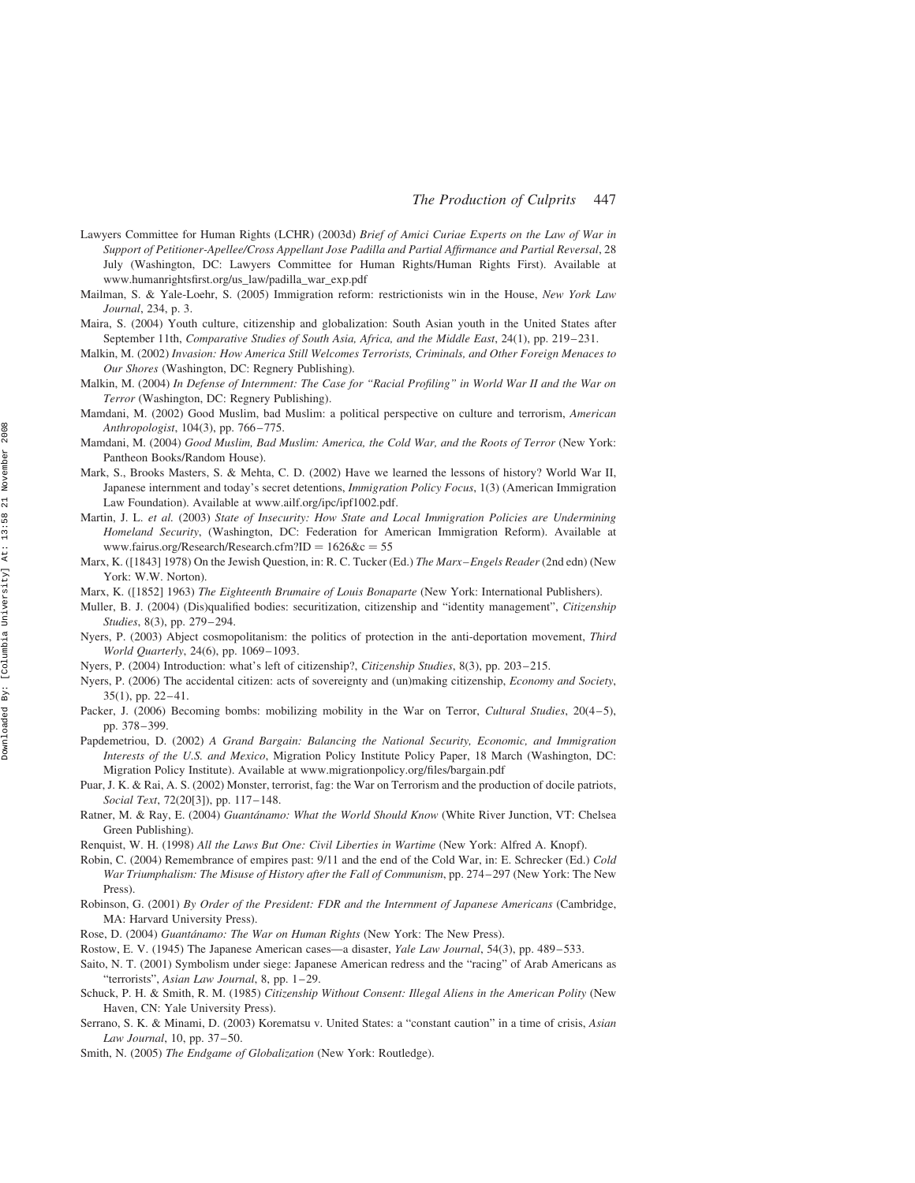- Lawyers Committee for Human Rights (LCHR) (2003d) Brief of Amici Curiae Experts on the Law of War in Support of Petitioner-Apellee/Cross Appellant Jose Padilla and Partial Affirmance and Partial Reversal, 28 July (Washington, DC: Lawyers Committee for Human Rights/Human Rights First). Available at www.humanrightsfirst.org/us\_law/padilla\_war\_exp.pdf
- Mailman, S. & Yale-Loehr, S. (2005) Immigration reform: restrictionists win in the House, New York Law Journal, 234, p. 3.
- Maira, S. (2004) Youth culture, citizenship and globalization: South Asian youth in the United States after September 11th, Comparative Studies of South Asia, Africa, and the Middle East, 24(1), pp. 219–231.
- Malkin, M. (2002) Invasion: How America Still Welcomes Terrorists, Criminals, and Other Foreign Menaces to Our Shores (Washington, DC: Regnery Publishing).
- Malkin, M. (2004) In Defense of Internment: The Case for "Racial Profiling" in World War II and the War on Terror (Washington, DC: Regnery Publishing).
- Mamdani, M. (2002) Good Muslim, bad Muslim: a political perspective on culture and terrorism, American Anthropologist, 104(3), pp. 766–775.
- Mamdani, M. (2004) Good Muslim, Bad Muslim: America, the Cold War, and the Roots of Terror (New York: Pantheon Books/Random House).
- Mark, S., Brooks Masters, S. & Mehta, C. D. (2002) Have we learned the lessons of history? World War II, Japanese internment and today's secret detentions, Immigration Policy Focus, 1(3) (American Immigration Law Foundation). Available at www.ailf.org/ipc/ipf1002.pdf.
- Martin, J. L. et al. (2003) State of Insecurity: How State and Local Immigration Policies are Undermining Homeland Security, (Washington, DC: Federation for American Immigration Reform). Available at www.fairus.org/Research/Research.cfm?ID =  $1626$ &c = 55
- Marx, K. ([1843] 1978) On the Jewish Question, in: R. C. Tucker (Ed.) The Marx–Engels Reader (2nd edn) (New York: W.W. Norton).
- Marx, K. ([1852] 1963) The Eighteenth Brumaire of Louis Bonaparte (New York: International Publishers).
- Muller, B. J. (2004) (Dis)qualified bodies: securitization, citizenship and "identity management", Citizenship Studies, 8(3), pp. 279–294.
- Nyers, P. (2003) Abject cosmopolitanism: the politics of protection in the anti-deportation movement, Third World Quarterly, 24(6), pp. 1069–1093.
- Nyers, P. (2004) Introduction: what's left of citizenship?, Citizenship Studies, 8(3), pp. 203–215.
- Nyers, P. (2006) The accidental citizen: acts of sovereignty and (un)making citizenship, Economy and Society, 35(1), pp. 22–41.
- Packer, J. (2006) Becoming bombs: mobilizing mobility in the War on Terror, Cultural Studies, 20(4–5), pp. 378–399.
- Papdemetriou, D. (2002) A Grand Bargain: Balancing the National Security, Economic, and Immigration Interests of the U.S. and Mexico, Migration Policy Institute Policy Paper, 18 March (Washington, DC: Migration Policy Institute). Available at www.migrationpolicy.org/files/bargain.pdf
- Puar, J. K. & Rai, A. S. (2002) Monster, terrorist, fag: the War on Terrorism and the production of docile patriots, Social Text, 72(20[3]), pp. 117-148.
- Ratner, M. & Ray, E. (2004) Guantánamo: What the World Should Know (White River Junction, VT: Chelsea Green Publishing).
- Renquist, W. H. (1998) All the Laws But One: Civil Liberties in Wartime (New York: Alfred A. Knopf).
- Robin, C. (2004) Remembrance of empires past: 9/11 and the end of the Cold War, in: E. Schrecker (Ed.) Cold War Triumphalism: The Misuse of History after the Fall of Communism, pp. 274–297 (New York: The New Press).
- Robinson, G. (2001) By Order of the President: FDR and the Internment of Japanese Americans (Cambridge, MA: Harvard University Press).
- Rose, D. (2004) Guantánamo: The War on Human Rights (New York: The New Press).
- Rostow, E. V. (1945) The Japanese American cases—a disaster, Yale Law Journal, 54(3), pp. 489–533.
- Saito, N. T. (2001) Symbolism under siege: Japanese American redress and the "racing" of Arab Americans as "terrorists", Asian Law Journal, 8, pp. 1–29.
- Schuck, P. H. & Smith, R. M. (1985) Citizenship Without Consent: Illegal Aliens in the American Polity (New Haven, CN: Yale University Press).
- Serrano, S. K. & Minami, D. (2003) Korematsu v. United States: a "constant caution" in a time of crisis, Asian Law Journal, 10, pp. 37–50.
- Smith, N. (2005) The Endgame of Globalization (New York: Routledge).